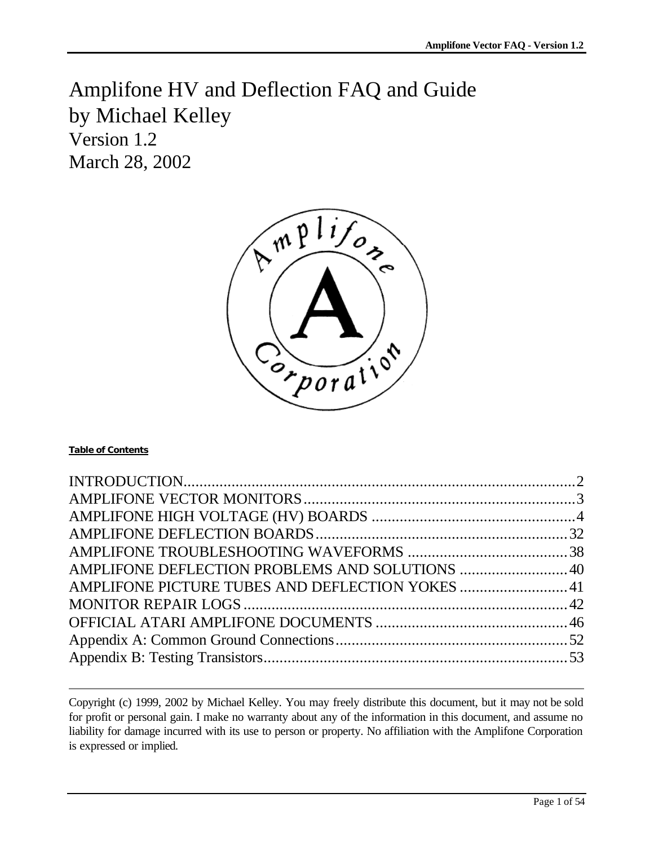Amplifone HV and Deflection FAQ and Guide by Michael Kelley Version 1.2 March 28, 2002



#### **Table of Contents**

| AMPLIFONE DEFLECTION PROBLEMS AND SOLUTIONS  40 |  |
|-------------------------------------------------|--|
| AMPLIFONE PICTURE TUBES AND DEFLECTION YOKES 41 |  |
|                                                 |  |
|                                                 |  |
|                                                 |  |
|                                                 |  |
|                                                 |  |

Copyright (c) 1999, 2002 by Michael Kelley. You may freely distribute this document, but it may not be sold for profit or personal gain. I make no warranty about any of the information in this document, and assume no liability for damage incurred with its use to person or property. No affiliation with the Amplifone Corporation is expressed or implied.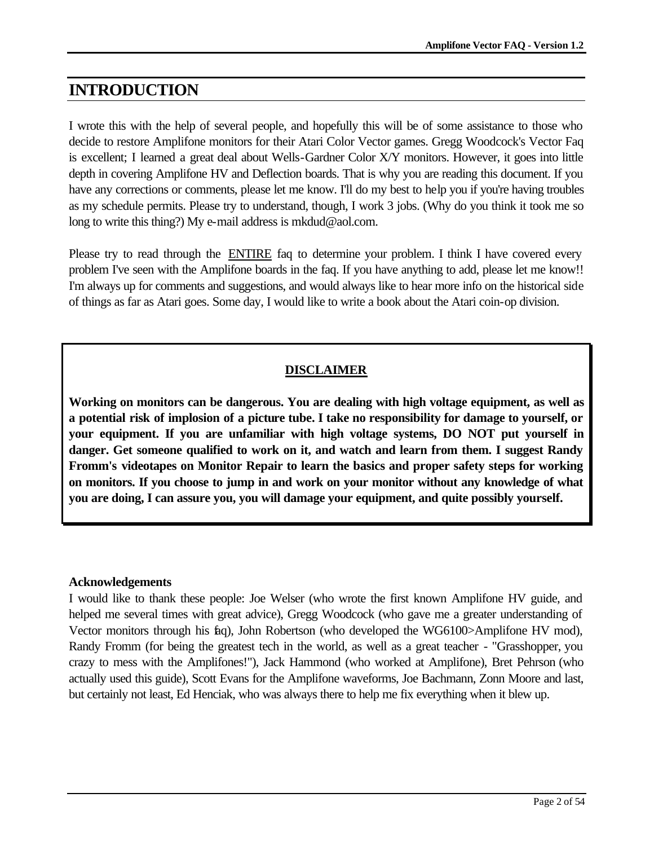# **INTRODUCTION**

I wrote this with the help of several people, and hopefully this will be of some assistance to those who decide to restore Amplifone monitors for their Atari Color Vector games. Gregg Woodcock's Vector Faq is excellent; I learned a great deal about Wells-Gardner Color X/Y monitors. However, it goes into little depth in covering Amplifone HV and Deflection boards. That is why you are reading this document. If you have any corrections or comments, please let me know. I'll do my best to help you if you're having troubles as my schedule permits. Please try to understand, though, I work 3 jobs. (Why do you think it took me so long to write this thing?) My e-mail address is mkdud@aol.com.

Please try to read through the ENTIRE faq to determine your problem. I think I have covered every problem I've seen with the Amplifone boards in the faq. If you have anything to add, please let me know!! I'm always up for comments and suggestions, and would always like to hear more info on the historical side of things as far as Atari goes. Some day, I would like to write a book about the Atari coin-op division.

## **DISCLAIMER**

**Working on monitors can be dangerous. You are dealing with high voltage equipment, as well as a potential risk of implosion of a picture tube. I take no responsibility for damage to yourself, or your equipment. If you are unfamiliar with high voltage systems, DO NOT put yourself in danger. Get someone qualified to work on it, and watch and learn from them. I suggest Randy Fromm's videotapes on Monitor Repair to learn the basics and proper safety steps for working on monitors. If you choose to jump in and work on your monitor without any knowledge of what you are doing, I can assure you, you will damage your equipment, and quite possibly yourself.**

### **Acknowledgements**

I would like to thank these people: Joe Welser (who wrote the first known Amplifone HV guide, and helped me several times with great advice), Gregg Woodcock (who gave me a greater understanding of Vector monitors through his faq), John Robertson (who developed the WG6100>Amplifone HV mod), Randy Fromm (for being the greatest tech in the world, as well as a great teacher - "Grasshopper, you crazy to mess with the Amplifones!"), Jack Hammond (who worked at Amplifone), Bret Pehrson (who actually used this guide), Scott Evans for the Amplifone waveforms, Joe Bachmann, Zonn Moore and last, but certainly not least, Ed Henciak, who was always there to help me fix everything when it blew up.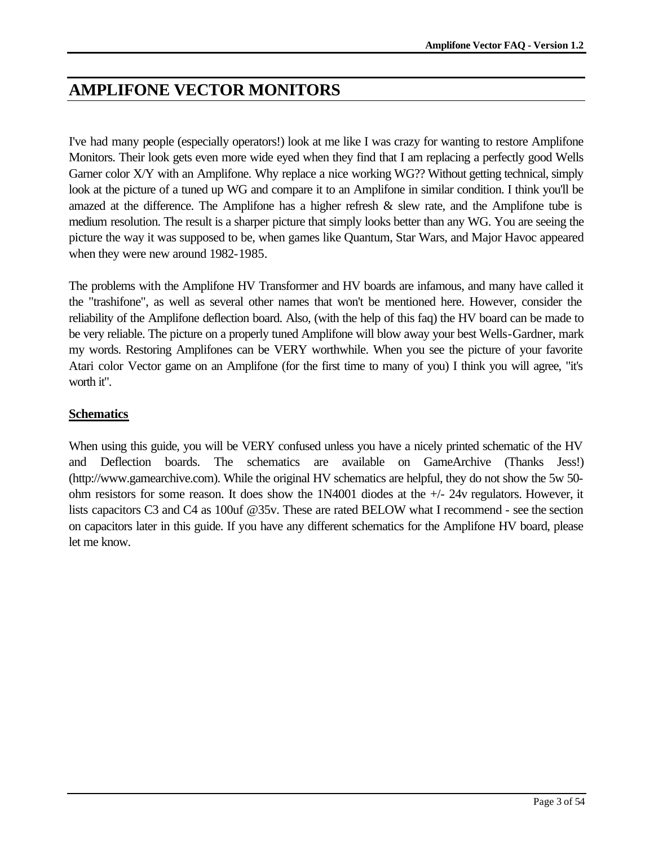# **AMPLIFONE VECTOR MONITORS**

I've had many people (especially operators!) look at me like I was crazy for wanting to restore Amplifone Monitors. Their look gets even more wide eyed when they find that I am replacing a perfectly good Wells Garner color X/Y with an Amplifone. Why replace a nice working WG?? Without getting technical, simply look at the picture of a tuned up WG and compare it to an Amplifone in similar condition. I think you'll be amazed at the difference. The Amplifone has a higher refresh & slew rate, and the Amplifone tube is medium resolution. The result is a sharper picture that simply looks better than any WG. You are seeing the picture the way it was supposed to be, when games like Quantum, Star Wars, and Major Havoc appeared when they were new around 1982-1985.

The problems with the Amplifone HV Transformer and HV boards are infamous, and many have called it the "trashifone", as well as several other names that won't be mentioned here. However, consider the reliability of the Amplifone deflection board. Also, (with the help of this faq) the HV board can be made to be very reliable. The picture on a properly tuned Amplifone will blow away your best Wells-Gardner, mark my words. Restoring Amplifones can be VERY worthwhile. When you see the picture of your favorite Atari color Vector game on an Amplifone (for the first time to many of you) I think you will agree, "it's worth it".

## **Schematics**

When using this guide, you will be VERY confused unless you have a nicely printed schematic of the HV and Deflection boards. The schematics are available on GameArchive (Thanks Jess!) (http://www.gamearchive.com). While the original HV schematics are helpful, they do not show the 5w 50 ohm resistors for some reason. It does show the 1N4001 diodes at the +/- 24v regulators. However, it lists capacitors C3 and C4 as 100uf @35v. These are rated BELOW what I recommend - see the section on capacitors later in this guide. If you have any different schematics for the Amplifone HV board, please let me know.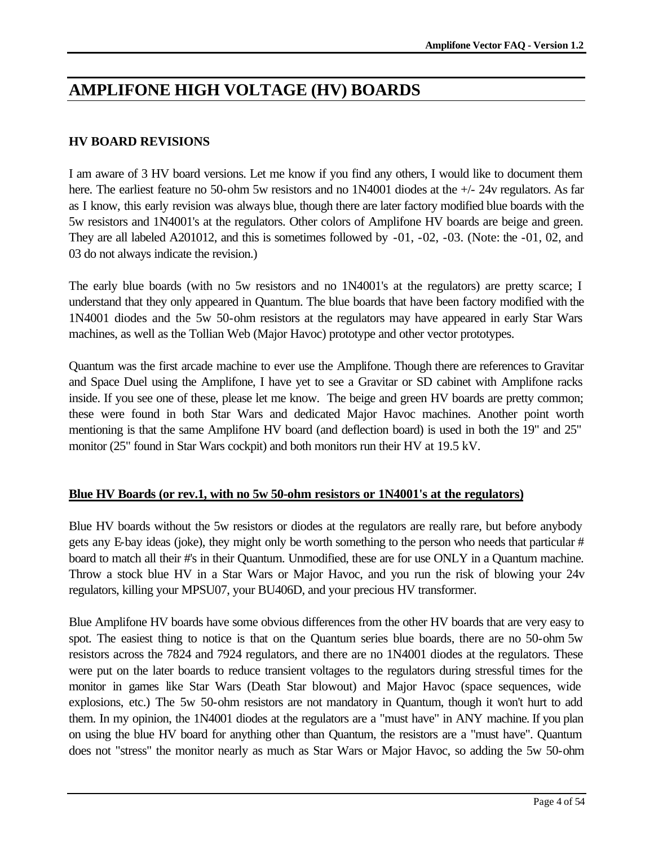# **AMPLIFONE HIGH VOLTAGE (HV) BOARDS**

## **HV BOARD REVISIONS**

I am aware of 3 HV board versions. Let me know if you find any others, I would like to document them here. The earliest feature no 50-ohm 5w resistors and no 1N4001 diodes at the  $+/- 24v$  regulators. As far as I know, this early revision was always blue, though there are later factory modified blue boards with the 5w resistors and 1N4001's at the regulators. Other colors of Amplifone HV boards are beige and green. They are all labeled A201012, and this is sometimes followed by -01, -02, -03. (Note: the -01, 02, and 03 do not always indicate the revision.)

The early blue boards (with no 5w resistors and no 1N4001's at the regulators) are pretty scarce; I understand that they only appeared in Quantum. The blue boards that have been factory modified with the 1N4001 diodes and the 5w 50-ohm resistors at the regulators may have appeared in early Star Wars machines, as well as the Tollian Web (Major Havoc) prototype and other vector prototypes.

Quantum was the first arcade machine to ever use the Amplifone. Though there are references to Gravitar and Space Duel using the Amplifone, I have yet to see a Gravitar or SD cabinet with Amplifone racks inside. If you see one of these, please let me know. The beige and green HV boards are pretty common; these were found in both Star Wars and dedicated Major Havoc machines. Another point worth mentioning is that the same Amplifone HV board (and deflection board) is used in both the 19" and 25" monitor (25" found in Star Wars cockpit) and both monitors run their HV at 19.5 kV.

### **Blue HV Boards (or rev.1, with no 5w 50-ohm resistors or 1N4001's at the regulators)**

Blue HV boards without the 5w resistors or diodes at the regulators are really rare, but before anybody gets any E-bay ideas (joke), they might only be worth something to the person who needs that particular # board to match all their #'s in their Quantum. Unmodified, these are for use ONLY in a Quantum machine. Throw a stock blue HV in a Star Wars or Major Havoc, and you run the risk of blowing your 24v regulators, killing your MPSU07, your BU406D, and your precious HV transformer.

Blue Amplifone HV boards have some obvious differences from the other HV boards that are very easy to spot. The easiest thing to notice is that on the Quantum series blue boards, there are no 50-ohm 5w resistors across the 7824 and 7924 regulators, and there are no 1N4001 diodes at the regulators. These were put on the later boards to reduce transient voltages to the regulators during stressful times for the monitor in games like Star Wars (Death Star blowout) and Major Havoc (space sequences, wide explosions, etc.) The 5w 50-ohm resistors are not mandatory in Quantum, though it won't hurt to add them. In my opinion, the 1N4001 diodes at the regulators are a "must have" in ANY machine. If you plan on using the blue HV board for anything other than Quantum, the resistors are a "must have". Quantum does not "stress" the monitor nearly as much as Star Wars or Major Havoc, so adding the 5w 50-ohm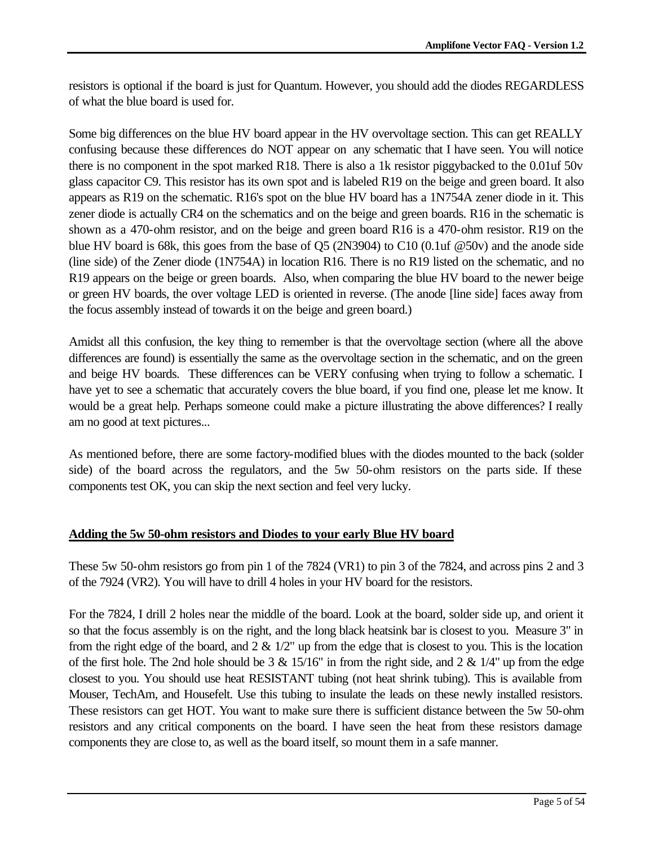resistors is optional if the board is just for Quantum. However, you should add the diodes REGARDLESS of what the blue board is used for.

Some big differences on the blue HV board appear in the HV overvoltage section. This can get REALLY confusing because these differences do NOT appear on any schematic that I have seen. You will notice there is no component in the spot marked R18. There is also a 1k resistor piggybacked to the 0.01uf 50v glass capacitor C9. This resistor has its own spot and is labeled R19 on the beige and green board. It also appears as R19 on the schematic. R16's spot on the blue HV board has a 1N754A zener diode in it. This zener diode is actually CR4 on the schematics and on the beige and green boards. R16 in the schematic is shown as a 470-ohm resistor, and on the beige and green board R16 is a 470-ohm resistor. R19 on the blue HV board is 68k, this goes from the base of Q5 (2N3904) to C10 (0.1uf @50v) and the anode side (line side) of the Zener diode (1N754A) in location R16. There is no R19 listed on the schematic, and no R19 appears on the beige or green boards. Also, when comparing the blue HV board to the newer beige or green HV boards, the over voltage LED is oriented in reverse. (The anode [line side] faces away from the focus assembly instead of towards it on the beige and green board.)

Amidst all this confusion, the key thing to remember is that the overvoltage section (where all the above differences are found) is essentially the same as the overvoltage section in the schematic, and on the green and beige HV boards. These differences can be VERY confusing when trying to follow a schematic. I have yet to see a schematic that accurately covers the blue board, if you find one, please let me know. It would be a great help. Perhaps someone could make a picture illustrating the above differences? I really am no good at text pictures...

As mentioned before, there are some factory-modified blues with the diodes mounted to the back (solder side) of the board across the regulators, and the 5w 50-ohm resistors on the parts side. If these components test OK, you can skip the next section and feel very lucky.

### **Adding the 5w 50-ohm resistors and Diodes to your early Blue HV board**

These 5w 50-ohm resistors go from pin 1 of the 7824 (VR1) to pin 3 of the 7824, and across pins 2 and 3 of the 7924 (VR2). You will have to drill 4 holes in your HV board for the resistors.

For the 7824, I drill 2 holes near the middle of the board. Look at the board, solder side up, and orient it so that the focus assembly is on the right, and the long black heatsink bar is closest to you. Measure 3" in from the right edge of the board, and  $2 \& 1/2$ " up from the edge that is closest to you. This is the location of the first hole. The 2nd hole should be 3  $\&$  15/16" in from the right side, and 2  $\&$  1/4" up from the edge closest to you. You should use heat RESISTANT tubing (not heat shrink tubing). This is available from Mouser, TechAm, and Housefelt. Use this tubing to insulate the leads on these newly installed resistors. These resistors can get HOT. You want to make sure there is sufficient distance between the 5w 50-ohm resistors and any critical components on the board. I have seen the heat from these resistors damage components they are close to, as well as the board itself, so mount them in a safe manner.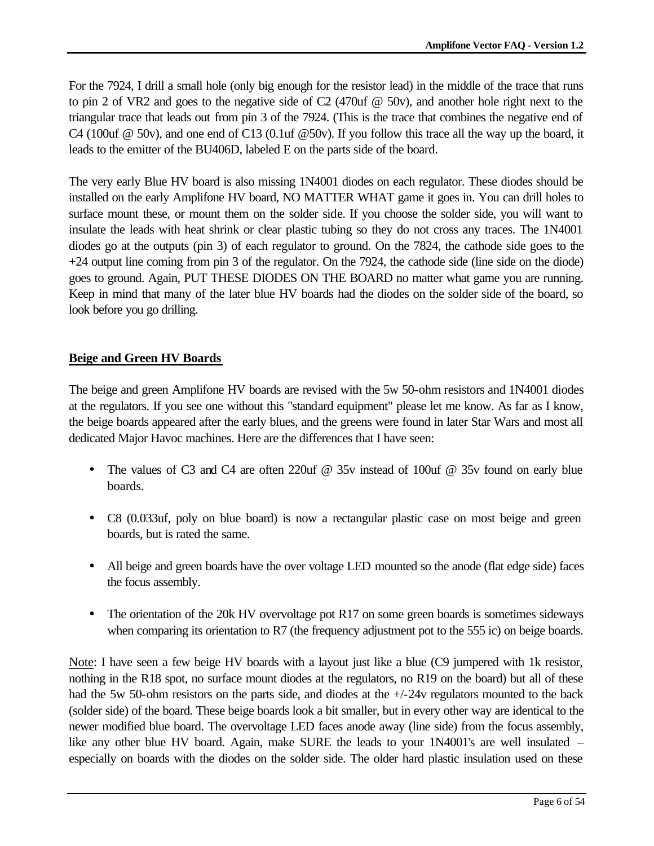For the 7924, I drill a small hole (only big enough for the resistor lead) in the middle of the trace that runs to pin 2 of VR2 and goes to the negative side of C2 (470uf @ 50v), and another hole right next to the triangular trace that leads out from pin 3 of the 7924. (This is the trace that combines the negative end of C4 (100uf  $\omega$  50v), and one end of C13 (0.1uf  $\omega$ 50v). If you follow this trace all the way up the board, it leads to the emitter of the BU406D, labeled E on the parts side of the board.

The very early Blue HV board is also missing 1N4001 diodes on each regulator. These diodes should be installed on the early Amplifone HV board, NO MATTER WHAT game it goes in. You can drill holes to surface mount these, or mount them on the solder side. If you choose the solder side, you will want to insulate the leads with heat shrink or clear plastic tubing so they do not cross any traces. The 1N4001 diodes go at the outputs (pin 3) of each regulator to ground. On the 7824, the cathode side goes to the +24 output line coming from pin 3 of the regulator. On the 7924, the cathode side (line side on the diode) goes to ground. Again, PUT THESE DIODES ON THE BOARD no matter what game you are running. Keep in mind that many of the later blue HV boards had the diodes on the solder side of the board, so look before you go drilling.

## **Beige and Green HV Boards**

The beige and green Amplifone HV boards are revised with the 5w 50-ohm resistors and 1N4001 diodes at the regulators. If you see one without this "standard equipment" please let me know. As far as I know, the beige boards appeared after the early blues, and the greens were found in later Star Wars and most all dedicated Major Havoc machines. Here are the differences that I have seen:

- The values of C3 and C4 are often 220uf @ 35v instead of 100uf @ 35v found on early blue boards.
- C8 (0.033uf, poly on blue board) is now a rectangular plastic case on most beige and green boards, but is rated the same.
- All beige and green boards have the over voltage LED mounted so the anode (flat edge side) faces the focus assembly.
- The orientation of the 20k HV overvoltage pot R17 on some green boards is sometimes sideways when comparing its orientation to R7 (the frequency adjustment pot to the 555 ic) on beige boards.

Note: I have seen a few beige HV boards with a layout just like a blue (C9 jumpered with 1k resistor, nothing in the R18 spot, no surface mount diodes at the regulators, no R19 on the board) but all of these had the 5w 50-ohm resistors on the parts side, and diodes at the  $+/-24v$  regulators mounted to the back (solder side) of the board. These beige boards look a bit smaller, but in every other way are identical to the newer modified blue board. The overvoltage LED faces anode away (line side) from the focus assembly, like any other blue HV board. Again, make SURE the leads to your 1N4001's are well insulated – especially on boards with the diodes on the solder side. The older hard plastic insulation used on these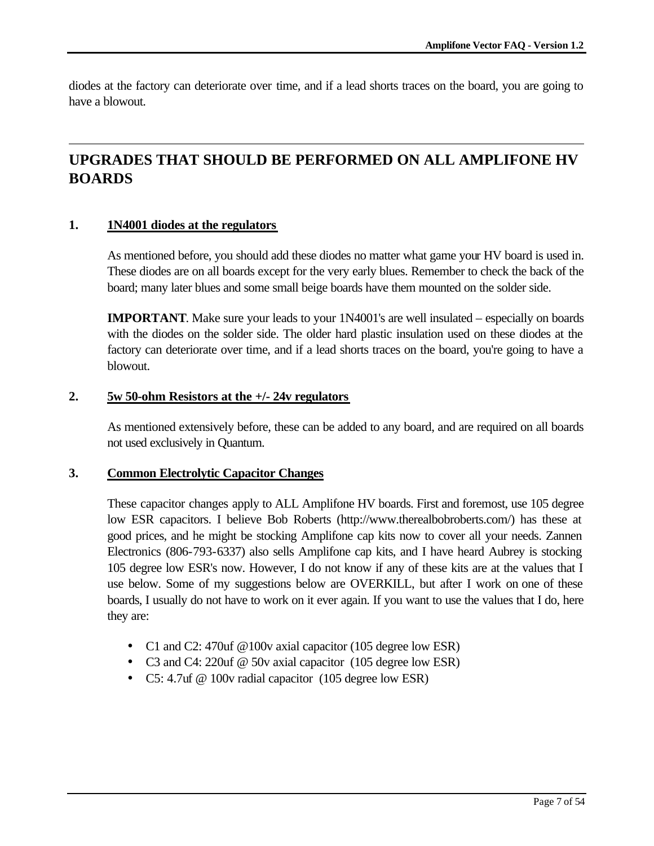diodes at the factory can deteriorate over time, and if a lead shorts traces on the board, you are going to have a blowout.

# **UPGRADES THAT SHOULD BE PERFORMED ON ALL AMPLIFONE HV BOARDS**

#### **1. 1N4001 diodes at the regulators**

As mentioned before, you should add these diodes no matter what game your HV board is used in. These diodes are on all boards except for the very early blues. Remember to check the back of the board; many later blues and some small beige boards have them mounted on the solder side.

**IMPORTANT**. Make sure your leads to your 1N4001's are well insulated – especially on boards with the diodes on the solder side. The older hard plastic insulation used on these diodes at the factory can deteriorate over time, and if a lead shorts traces on the board, you're going to have a blowout.

#### **2. 5w 50-ohm Resistors at the +/- 24v regulators**

As mentioned extensively before, these can be added to any board, and are required on all boards not used exclusively in Quantum.

#### **3. Common Electrolytic Capacitor Changes**

These capacitor changes apply to ALL Amplifone HV boards. First and foremost, use 105 degree low ESR capacitors. I believe Bob Roberts (http://www.therealbobroberts.com/) has these at good prices, and he might be stocking Amplifone cap kits now to cover all your needs. Zannen Electronics (806-793-6337) also sells Amplifone cap kits, and I have heard Aubrey is stocking 105 degree low ESR's now. However, I do not know if any of these kits are at the values that I use below. Some of my suggestions below are OVERKILL, but after I work on one of these boards, I usually do not have to work on it ever again. If you want to use the values that I do, here they are:

- C1 and C2: 470uf @100v axial capacitor (105 degree low ESR)
- C3 and C4: 220uf @ 50v axial capacitor (105 degree low ESR)
- C5: 4.7uf @ 100v radial capacitor (105 degree low ESR)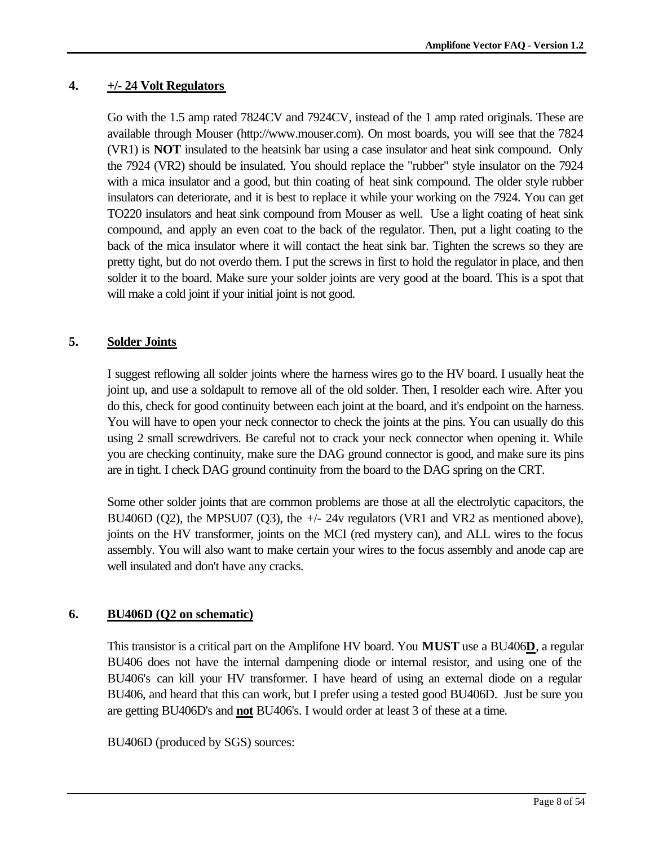## **4. +/- 24 Volt Regulators**

Go with the 1.5 amp rated 7824CV and 7924CV, instead of the 1 amp rated originals. These are available through Mouser (http://www.mouser.com). On most boards, you will see that the 7824 (VR1) is **NOT** insulated to the heatsink bar using a case insulator and heat sink compound. Only the 7924 (VR2) should be insulated. You should replace the "rubber" style insulator on the 7924 with a mica insulator and a good, but thin coating of heat sink compound. The older style rubber insulators can deteriorate, and it is best to replace it while your working on the 7924. You can get TO220 insulators and heat sink compound from Mouser as well. Use a light coating of heat sink compound, and apply an even coat to the back of the regulator. Then, put a light coating to the back of the mica insulator where it will contact the heat sink bar. Tighten the screws so they are pretty tight, but do not overdo them. I put the screws in first to hold the regulator in place, and then solder it to the board. Make sure your solder joints are very good at the board. This is a spot that will make a cold joint if your initial joint is not good.

## **5. Solder Joints**

I suggest reflowing all solder joints where the harness wires go to the HV board. I usually heat the joint up, and use a soldapult to remove all of the old solder. Then, I resolder each wire. After you do this, check for good continuity between each joint at the board, and it's endpoint on the harness. You will have to open your neck connector to check the joints at the pins. You can usually do this using 2 small screwdrivers. Be careful not to crack your neck connector when opening it. While you are checking continuity, make sure the DAG ground connector is good, and make sure its pins are in tight. I check DAG ground continuity from the board to the DAG spring on the CRT.

Some other solder joints that are common problems are those at all the electrolytic capacitors, the BU406D (Q2), the MPSU07 (Q3), the +/- 24v regulators (VR1 and VR2 as mentioned above), joints on the HV transformer, joints on the MCI (red mystery can), and ALL wires to the focus assembly. You will also want to make certain your wires to the focus assembly and anode cap are well insulated and don't have any cracks.

## **6. BU406D (Q2 on schematic)**

This transistor is a critical part on the Amplifone HV board. You **MUST** use a BU406**D**, a regular BU406 does not have the internal dampening diode or internal resistor, and using one of the BU406's can kill your HV transformer. I have heard of using an external diode on a regular BU406, and heard that this can work, but I prefer using a tested good BU406D. Just be sure you are getting BU406D's and **not** BU406's. I would order at least 3 of these at a time.

BU406D (produced by SGS) sources: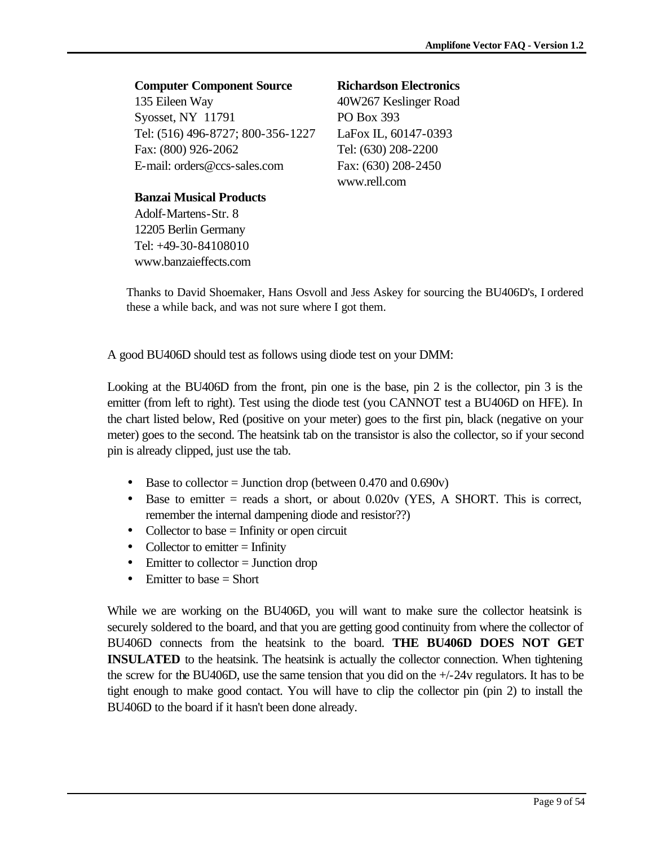## **Computer Component Source**

135 Eileen Way Syosset, NY 11791 Tel: (516) 496-8727; 800-356-1227 Fax: (800) 926-2062 E-mail: orders@ccs-sales.com

### **Banzai Musical Products**

Adolf-Martens-Str. 8 12205 Berlin Germany Tel: +49-30-84108010 www.banzaieffects.com

## **Richardson Electronics**

40W267 Keslinger Road PO Box 393 LaFox IL, 60147-0393 Tel: (630) 208-2200 Fax: (630) 208-2450 www.rell.com

Thanks to David Shoemaker, Hans Osvoll and Jess Askey for sourcing the BU406D's, I ordered these a while back, and was not sure where I got them.

A good BU406D should test as follows using diode test on your DMM:

Looking at the BU406D from the front, pin one is the base, pin 2 is the collector, pin 3 is the emitter (from left to right). Test using the diode test (you CANNOT test a BU406D on HFE). In the chart listed below, Red (positive on your meter) goes to the first pin, black (negative on your meter) goes to the second. The heatsink tab on the transistor is also the collector, so if your second pin is already clipped, just use the tab.

- Base to collector = Junction drop (between  $0.470$  and  $0.690v$ )
- Base to emitter  $=$  reads a short, or about 0.020v (YES, A SHORT. This is correct, remember the internal dampening diode and resistor??)
- Collector to base  $=$  Infinity or open circuit
- Collector to emitter  $=$  Infinity
- Emitter to collector = Junction drop
- Emitter to base  $=$  Short

While we are working on the BU406D, you will want to make sure the collector heatsink is securely soldered to the board, and that you are getting good continuity from where the collector of BU406D connects from the heatsink to the board. **THE BU406D DOES NOT GET INSULATED** to the heatsink. The heatsink is actually the collector connection. When tightening the screw for the BU406D, use the same tension that you did on the +/-24v regulators. It has to be tight enough to make good contact. You will have to clip the collector pin (pin 2) to install the BU406D to the board if it hasn't been done already.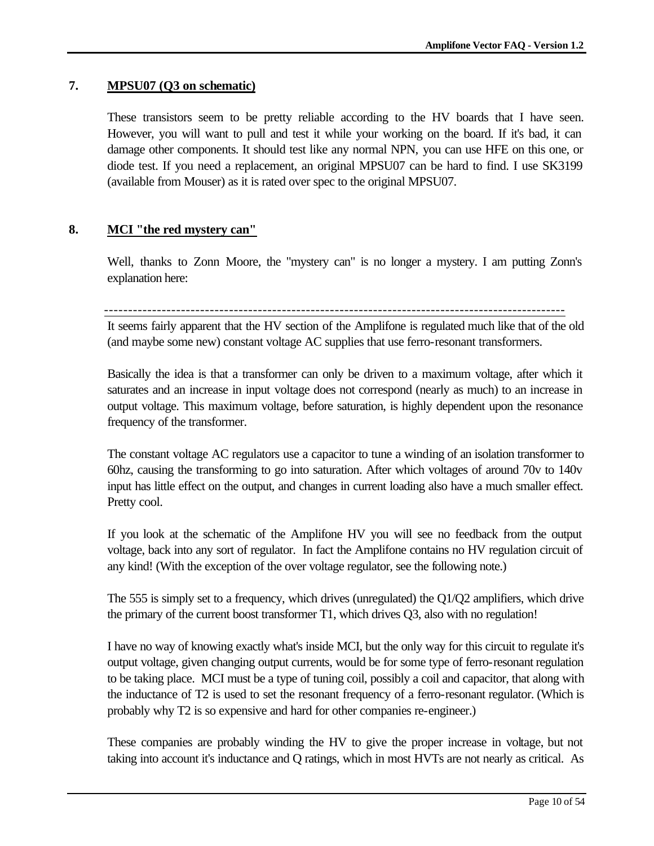## **7. MPSU07 (Q3 on schematic)**

These transistors seem to be pretty reliable according to the HV boards that I have seen. However, you will want to pull and test it while your working on the board. If it's bad, it can damage other components. It should test like any normal NPN, you can use HFE on this one, or diode test. If you need a replacement, an original MPSU07 can be hard to find. I use SK3199 (available from Mouser) as it is rated over spec to the original MPSU07.

## **8. MCI "the red mystery can"**

Well, thanks to Zonn Moore, the "mystery can" is no longer a mystery. I am putting Zonn's explanation here:

------------------------------------------------------------------------------------------------

It seems fairly apparent that the HV section of the Amplifone is regulated much like that of the old (and maybe some new) constant voltage AC supplies that use ferro-resonant transformers.

Basically the idea is that a transformer can only be driven to a maximum voltage, after which it saturates and an increase in input voltage does not correspond (nearly as much) to an increase in output voltage. This maximum voltage, before saturation, is highly dependent upon the resonance frequency of the transformer.

The constant voltage AC regulators use a capacitor to tune a winding of an isolation transformer to 60hz, causing the transforming to go into saturation. After which voltages of around 70v to 140v input has little effect on the output, and changes in current loading also have a much smaller effect. Pretty cool.

If you look at the schematic of the Amplifone HV you will see no feedback from the output voltage, back into any sort of regulator. In fact the Amplifone contains no HV regulation circuit of any kind! (With the exception of the over voltage regulator, see the following note.)

The 555 is simply set to a frequency, which drives (unregulated) the Q1/Q2 amplifiers, which drive the primary of the current boost transformer T1, which drives Q3, also with no regulation!

I have no way of knowing exactly what's inside MCI, but the only way for this circuit to regulate it's output voltage, given changing output currents, would be for some type of ferro-resonant regulation to be taking place. MCI must be a type of tuning coil, possibly a coil and capacitor, that along with the inductance of T2 is used to set the resonant frequency of a ferro-resonant regulator. (Which is probably why T2 is so expensive and hard for other companies re-engineer.)

These companies are probably winding the HV to give the proper increase in voltage, but not taking into account it's inductance and Q ratings, which in most HVTs are not nearly as critical. As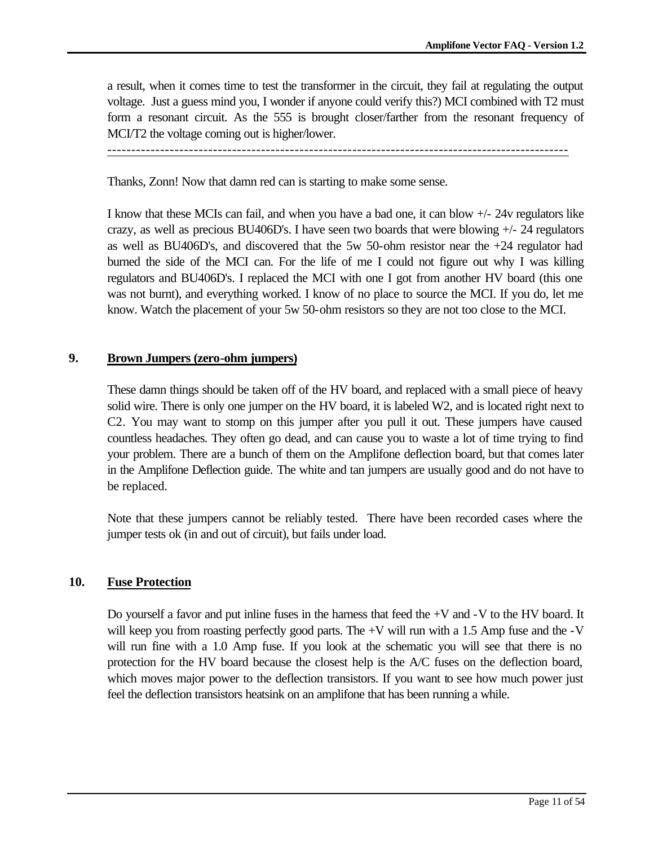a result, when it comes time to test the transformer in the circuit, they fail at regulating the output voltage. Just a guess mind you, I wonder if anyone could verify this?) MCI combined with T2 must form a resonant circuit. As the 555 is brought closer/farther from the resonant frequency of MCI/T2 the voltage coming out is higher/lower.

------------------------------------------------------------------------------------------------

Thanks, Zonn! Now that damn red can is starting to make some sense.

I know that these MCIs can fail, and when you have a bad one, it can blow +/- 24v regulators like crazy, as well as precious BU406D's. I have seen two boards that were blowing  $+/-24$  regulators as well as BU406D's, and discovered that the 5w 50-ohm resistor near the +24 regulator had burned the side of the MCI can. For the life of me I could not figure out why I was killing regulators and BU406D's. I replaced the MCI with one I got from another HV board (this one was not burnt), and everything worked. I know of no place to source the MCI. If you do, let me know. Watch the placement of your 5w 50-ohm resistors so they are not too close to the MCI.

#### **9. Brown Jumpers (zero-ohm jumpers)**

These damn things should be taken off of the HV board, and replaced with a small piece of heavy solid wire. There is only one jumper on the HV board, it is labeled W2, and is located right next to C2. You may want to stomp on this jumper after you pull it out. These jumpers have caused countless headaches. They often go dead, and can cause you to waste a lot of time trying to find your problem. There are a bunch of them on the Amplifone deflection board, but that comes later in the Amplifone Deflection guide. The white and tan jumpers are usually good and do not have to be replaced.

Note that these jumpers cannot be reliably tested. There have been recorded cases where the jumper tests ok (in and out of circuit), but fails under load.

#### **10. Fuse Protection**

Do yourself a favor and put inline fuses in the harness that feed the +V and -V to the HV board. It will keep you from roasting perfectly good parts. The +V will run with a 1.5 Amp fuse and the -V will run fine with a 1.0 Amp fuse. If you look at the schematic you will see that there is no protection for the HV board because the closest help is the A/C fuses on the deflection board, which moves major power to the deflection transistors. If you want to see how much power just feel the deflection transistors heatsink on an amplifone that has been running a while.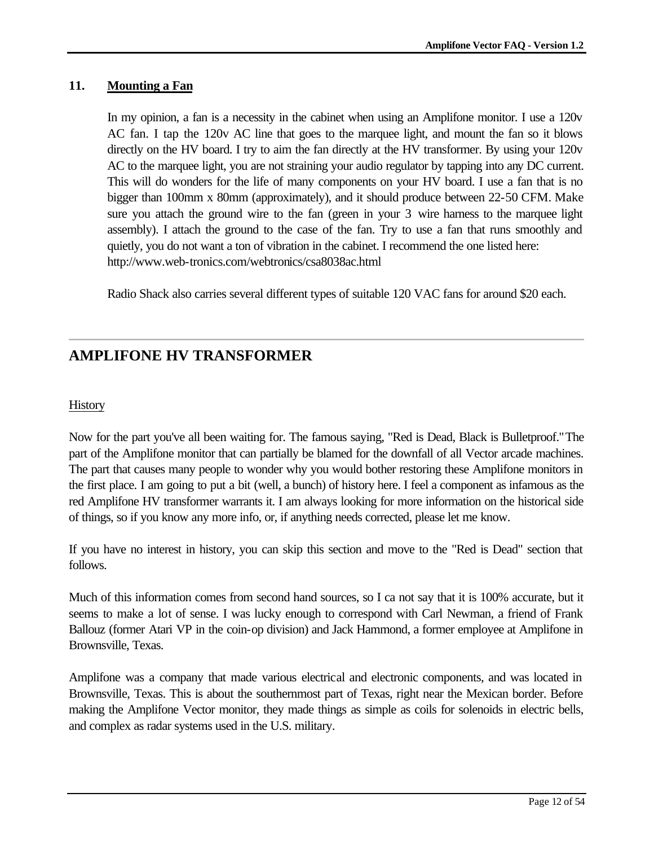## **11. Mounting a Fan**

In my opinion, a fan is a necessity in the cabinet when using an Amplifone monitor. I use a 120v AC fan. I tap the 120v AC line that goes to the marquee light, and mount the fan so it blows directly on the HV board. I try to aim the fan directly at the HV transformer. By using your 120v AC to the marquee light, you are not straining your audio regulator by tapping into any DC current. This will do wonders for the life of many components on your HV board. I use a fan that is no bigger than 100mm x 80mm (approximately), and it should produce between 22-50 CFM. Make sure you attach the ground wire to the fan (green in your 3 wire harness to the marquee light assembly). I attach the ground to the case of the fan. Try to use a fan that runs smoothly and quietly, you do not want a ton of vibration in the cabinet. I recommend the one listed here: http://www.web-tronics.com/webtronics/csa8038ac.html

Radio Shack also carries several different types of suitable 120 VAC fans for around \$20 each.

## **AMPLIFONE HV TRANSFORMER**

### **History**

Now for the part you've all been waiting for. The famous saying, "Red is Dead, Black is Bulletproof." The part of the Amplifone monitor that can partially be blamed for the downfall of all Vector arcade machines. The part that causes many people to wonder why you would bother restoring these Amplifone monitors in the first place. I am going to put a bit (well, a bunch) of history here. I feel a component as infamous as the red Amplifone HV transformer warrants it. I am always looking for more information on the historical side of things, so if you know any more info, or, if anything needs corrected, please let me know.

If you have no interest in history, you can skip this section and move to the "Red is Dead" section that follows.

Much of this information comes from second hand sources, so I ca not say that it is 100% accurate, but it seems to make a lot of sense. I was lucky enough to correspond with Carl Newman, a friend of Frank Ballouz (former Atari VP in the coin-op division) and Jack Hammond, a former employee at Amplifone in Brownsville, Texas.

Amplifone was a company that made various electrical and electronic components, and was located in Brownsville, Texas. This is about the southernmost part of Texas, right near the Mexican border. Before making the Amplifone Vector monitor, they made things as simple as coils for solenoids in electric bells, and complex as radar systems used in the U.S. military.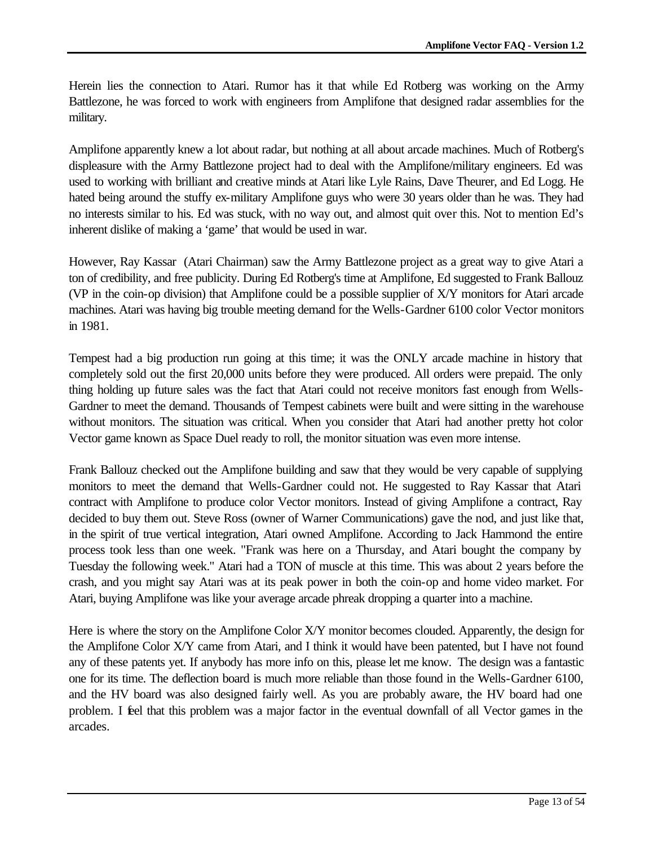Herein lies the connection to Atari. Rumor has it that while Ed Rotberg was working on the Army Battlezone, he was forced to work with engineers from Amplifone that designed radar assemblies for the military.

Amplifone apparently knew a lot about radar, but nothing at all about arcade machines. Much of Rotberg's displeasure with the Army Battlezone project had to deal with the Amplifone/military engineers. Ed was used to working with brilliant and creative minds at Atari like Lyle Rains, Dave Theurer, and Ed Logg. He hated being around the stuffy ex-military Amplifone guys who were 30 years older than he was. They had no interests similar to his. Ed was stuck, with no way out, and almost quit over this. Not to mention Ed's inherent dislike of making a 'game' that would be used in war.

However, Ray Kassar (Atari Chairman) saw the Army Battlezone project as a great way to give Atari a ton of credibility, and free publicity. During Ed Rotberg's time at Amplifone, Ed suggested to Frank Ballouz (VP in the coin-op division) that Amplifone could be a possible supplier of X/Y monitors for Atari arcade machines. Atari was having big trouble meeting demand for the Wells-Gardner 6100 color Vector monitors in 1981.

Tempest had a big production run going at this time; it was the ONLY arcade machine in history that completely sold out the first 20,000 units before they were produced. All orders were prepaid. The only thing holding up future sales was the fact that Atari could not receive monitors fast enough from Wells-Gardner to meet the demand. Thousands of Tempest cabinets were built and were sitting in the warehouse without monitors. The situation was critical. When you consider that Atari had another pretty hot color Vector game known as Space Duel ready to roll, the monitor situation was even more intense.

Frank Ballouz checked out the Amplifone building and saw that they would be very capable of supplying monitors to meet the demand that Wells-Gardner could not. He suggested to Ray Kassar that Atari contract with Amplifone to produce color Vector monitors. Instead of giving Amplifone a contract, Ray decided to buy them out. Steve Ross (owner of Warner Communications) gave the nod, and just like that, in the spirit of true vertical integration, Atari owned Amplifone. According to Jack Hammond the entire process took less than one week. "Frank was here on a Thursday, and Atari bought the company by Tuesday the following week." Atari had a TON of muscle at this time. This was about 2 years before the crash, and you might say Atari was at its peak power in both the coin-op and home video market. For Atari, buying Amplifone was like your average arcade phreak dropping a quarter into a machine.

Here is where the story on the Amplifone Color X/Y monitor becomes clouded. Apparently, the design for the Amplifone Color X/Y came from Atari, and I think it would have been patented, but I have not found any of these patents yet. If anybody has more info on this, please let me know. The design was a fantastic one for its time. The deflection board is much more reliable than those found in the Wells-Gardner 6100, and the HV board was also designed fairly well. As you are probably aware, the HV board had one problem. I feel that this problem was a major factor in the eventual downfall of all Vector games in the arcades.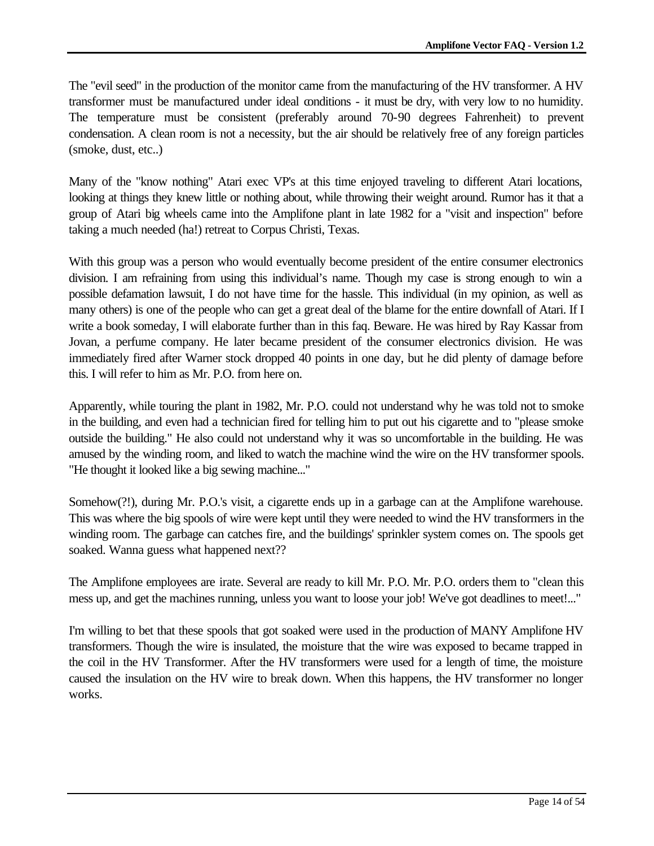The "evil seed" in the production of the monitor came from the manufacturing of the HV transformer. A HV transformer must be manufactured under ideal conditions - it must be dry, with very low to no humidity. The temperature must be consistent (preferably around 70-90 degrees Fahrenheit) to prevent condensation. A clean room is not a necessity, but the air should be relatively free of any foreign particles (smoke, dust, etc..)

Many of the "know nothing" Atari exec VP's at this time enjoyed traveling to different Atari locations, looking at things they knew little or nothing about, while throwing their weight around. Rumor has it that a group of Atari big wheels came into the Amplifone plant in late 1982 for a "visit and inspection" before taking a much needed (ha!) retreat to Corpus Christi, Texas.

With this group was a person who would eventually become president of the entire consumer electronics division. I am refraining from using this individual's name. Though my case is strong enough to win a possible defamation lawsuit, I do not have time for the hassle. This individual (in my opinion, as well as many others) is one of the people who can get a great deal of the blame for the entire downfall of Atari. If I write a book someday, I will elaborate further than in this faq. Beware. He was hired by Ray Kassar from Jovan, a perfume company. He later became president of the consumer electronics division. He was immediately fired after Warner stock dropped 40 points in one day, but he did plenty of damage before this. I will refer to him as Mr. P.O. from here on.

Apparently, while touring the plant in 1982, Mr. P.O. could not understand why he was told not to smoke in the building, and even had a technician fired for telling him to put out his cigarette and to "please smoke outside the building." He also could not understand why it was so uncomfortable in the building. He was amused by the winding room, and liked to watch the machine wind the wire on the HV transformer spools. "He thought it looked like a big sewing machine..."

Somehow(?!), during Mr. P.O.'s visit, a cigarette ends up in a garbage can at the Amplifone warehouse. This was where the big spools of wire were kept until they were needed to wind the HV transformers in the winding room. The garbage can catches fire, and the buildings' sprinkler system comes on. The spools get soaked. Wanna guess what happened next??

The Amplifone employees are irate. Several are ready to kill Mr. P.O. Mr. P.O. orders them to "clean this mess up, and get the machines running, unless you want to loose your job! We've got deadlines to meet!..."

I'm willing to bet that these spools that got soaked were used in the production of MANY Amplifone HV transformers. Though the wire is insulated, the moisture that the wire was exposed to became trapped in the coil in the HV Transformer. After the HV transformers were used for a length of time, the moisture caused the insulation on the HV wire to break down. When this happens, the HV transformer no longer works.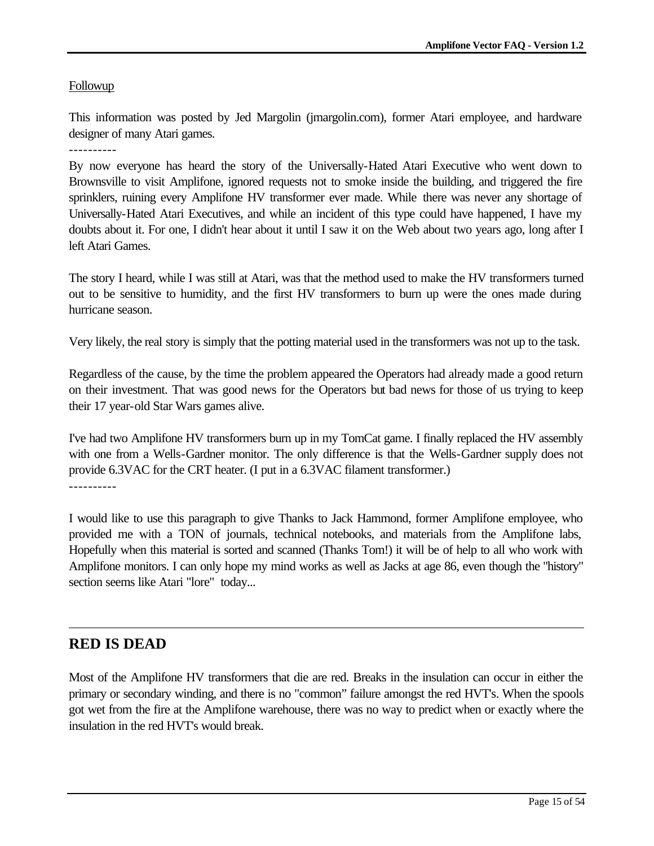### Followup

This information was posted by Jed Margolin (jmargolin.com), former Atari employee, and hardware designer of many Atari games.

----------

By now everyone has heard the story of the Universally-Hated Atari Executive who went down to Brownsville to visit Amplifone, ignored requests not to smoke inside the building, and triggered the fire sprinklers, ruining every Amplifone HV transformer ever made. While there was never any shortage of Universally-Hated Atari Executives, and while an incident of this type could have happened, I have my doubts about it. For one, I didn't hear about it until I saw it on the Web about two years ago, long after I left Atari Games.

The story I heard, while I was still at Atari, was that the method used to make the HV transformers turned out to be sensitive to humidity, and the first HV transformers to burn up were the ones made during hurricane season.

Very likely, the real story is simply that the potting material used in the transformers was not up to the task.

Regardless of the cause, by the time the problem appeared the Operators had already made a good return on their investment. That was good news for the Operators but bad news for those of us trying to keep their 17 year-old Star Wars games alive.

I've had two Amplifone HV transformers burn up in my TomCat game. I finally replaced the HV assembly with one from a Wells-Gardner monitor. The only difference is that the Wells-Gardner supply does not provide 6.3VAC for the CRT heater. (I put in a 6.3VAC filament transformer.)

I would like to use this paragraph to give Thanks to Jack Hammond, former Amplifone employee, who provided me with a TON of journals, technical notebooks, and materials from the Amplifone labs, Hopefully when this material is sorted and scanned (Thanks Tom!) it will be of help to all who work with Amplifone monitors. I can only hope my mind works as well as Jacks at age 86, even though the "history" section seems like Atari "lore" today...

## **RED IS DEAD**

Most of the Amplifone HV transformers that die are red. Breaks in the insulation can occur in either the primary or secondary winding, and there is no "common" failure amongst the red HVT's. When the spools got wet from the fire at the Amplifone warehouse, there was no way to predict when or exactly where the insulation in the red HVT's would break.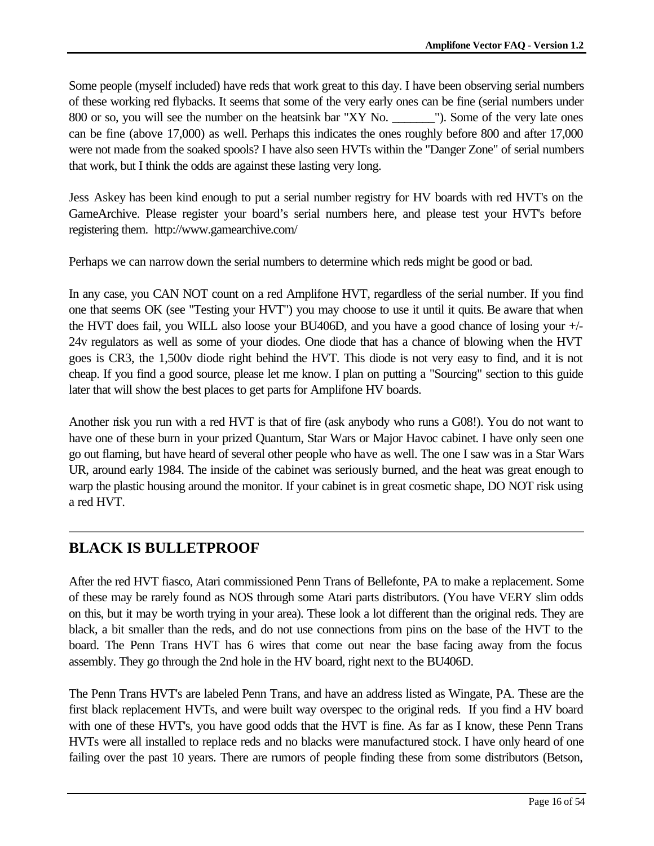Some people (myself included) have reds that work great to this day. I have been observing serial numbers of these working red flybacks. It seems that some of the very early ones can be fine (serial numbers under 800 or so, you will see the number on the heatsink bar "XY No. \_\_\_\_\_\_\_"). Some of the very late ones can be fine (above 17,000) as well. Perhaps this indicates the ones roughly before 800 and after 17,000 were not made from the soaked spools? I have also seen HVTs within the "Danger Zone" of serial numbers that work, but I think the odds are against these lasting very long.

Jess Askey has been kind enough to put a serial number registry for HV boards with red HVT's on the GameArchive. Please register your board's serial numbers here, and please test your HVT's before registering them. http://www.gamearchive.com/

Perhaps we can narrow down the serial numbers to determine which reds might be good or bad.

In any case, you CAN NOT count on a red Amplifone HVT, regardless of the serial number. If you find one that seems OK (see "Testing your HVT") you may choose to use it until it quits. Be aware that when the HVT does fail, you WILL also loose your BU406D, and you have a good chance of losing your +/- 24v regulators as well as some of your diodes. One diode that has a chance of blowing when the HVT goes is CR3, the 1,500v diode right behind the HVT. This diode is not very easy to find, and it is not cheap. If you find a good source, please let me know. I plan on putting a "Sourcing" section to this guide later that will show the best places to get parts for Amplifone HV boards.

Another risk you run with a red HVT is that of fire (ask anybody who runs a G08!). You do not want to have one of these burn in your prized Quantum, Star Wars or Major Havoc cabinet. I have only seen one go out flaming, but have heard of several other people who have as well. The one I saw was in a Star Wars UR, around early 1984. The inside of the cabinet was seriously burned, and the heat was great enough to warp the plastic housing around the monitor. If your cabinet is in great cosmetic shape, DO NOT risk using a red HVT.

# **BLACK IS BULLETPROOF**

After the red HVT fiasco, Atari commissioned Penn Trans of Bellefonte, PA to make a replacement. Some of these may be rarely found as NOS through some Atari parts distributors. (You have VERY slim odds on this, but it may be worth trying in your area). These look a lot different than the original reds. They are black, a bit smaller than the reds, and do not use connections from pins on the base of the HVT to the board. The Penn Trans HVT has 6 wires that come out near the base facing away from the focus assembly. They go through the 2nd hole in the HV board, right next to the BU406D.

The Penn Trans HVT's are labeled Penn Trans, and have an address listed as Wingate, PA. These are the first black replacement HVTs, and were built way overspec to the original reds. If you find a HV board with one of these HVT's, you have good odds that the HVT is fine. As far as I know, these Penn Trans HVTs were all installed to replace reds and no blacks were manufactured stock. I have only heard of one failing over the past 10 years. There are rumors of people finding these from some distributors (Betson,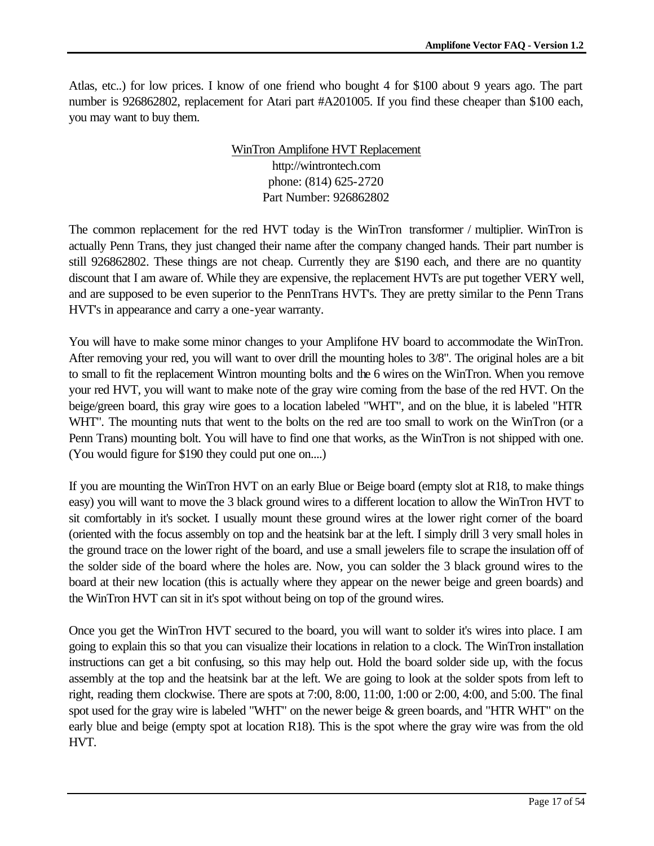Atlas, etc..) for low prices. I know of one friend who bought 4 for \$100 about 9 years ago. The part number is 926862802, replacement for Atari part #A201005. If you find these cheaper than \$100 each, you may want to buy them.

## WinTron Amplifone HVT Replacement http://wintrontech.com phone: (814) 625-2720 Part Number: 926862802

The common replacement for the red HVT today is the WinTron transformer / multiplier. WinTron is actually Penn Trans, they just changed their name after the company changed hands. Their part number is still 926862802. These things are not cheap. Currently they are \$190 each, and there are no quantity discount that I am aware of. While they are expensive, the replacement HVTs are put together VERY well, and are supposed to be even superior to the PennTrans HVT's. They are pretty similar to the Penn Trans HVT's in appearance and carry a one-year warranty.

You will have to make some minor changes to your Amplifone HV board to accommodate the WinTron. After removing your red, you will want to over drill the mounting holes to 3/8". The original holes are a bit to small to fit the replacement Wintron mounting bolts and the 6 wires on the WinTron. When you remove your red HVT, you will want to make note of the gray wire coming from the base of the red HVT. On the beige/green board, this gray wire goes to a location labeled "WHT", and on the blue, it is labeled "HTR WHT". The mounting nuts that went to the bolts on the red are too small to work on the WinTron (or a Penn Trans) mounting bolt. You will have to find one that works, as the WinTron is not shipped with one. (You would figure for \$190 they could put one on....)

If you are mounting the WinTron HVT on an early Blue or Beige board (empty slot at R18, to make things easy) you will want to move the 3 black ground wires to a different location to allow the WinTron HVT to sit comfortably in it's socket. I usually mount these ground wires at the lower right corner of the board (oriented with the focus assembly on top and the heatsink bar at the left. I simply drill 3 very small holes in the ground trace on the lower right of the board, and use a small jewelers file to scrape the insulation off of the solder side of the board where the holes are. Now, you can solder the 3 black ground wires to the board at their new location (this is actually where they appear on the newer beige and green boards) and the WinTron HVT can sit in it's spot without being on top of the ground wires.

Once you get the WinTron HVT secured to the board, you will want to solder it's wires into place. I am going to explain this so that you can visualize their locations in relation to a clock. The WinTron installation instructions can get a bit confusing, so this may help out. Hold the board solder side up, with the focus assembly at the top and the heatsink bar at the left. We are going to look at the solder spots from left to right, reading them clockwise. There are spots at 7:00, 8:00, 11:00, 1:00 or 2:00, 4:00, and 5:00. The final spot used for the gray wire is labeled "WHT" on the newer beige & green boards, and "HTR WHT" on the early blue and beige (empty spot at location R18). This is the spot where the gray wire was from the old HVT.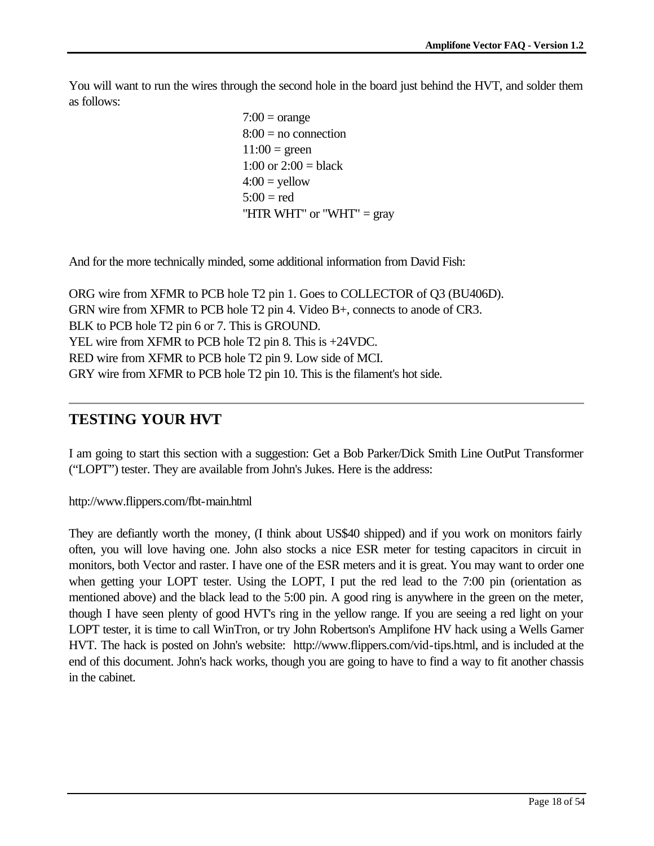You will want to run the wires through the second hole in the board just behind the HVT, and solder them as follows:

> $7:00 = \text{orange}$  $8:00 =$  no connection  $11:00 =$  green 1:00 or  $2:00 = \text{black}$  $4:00 =$ yellow  $5:00 = red$ "HTR WHT" or "WHT"  $=$  gray

And for the more technically minded, some additional information from David Fish:

ORG wire from XFMR to PCB hole T2 pin 1. Goes to COLLECTOR of Q3 (BU406D). GRN wire from XFMR to PCB hole T2 pin 4. Video B+, connects to anode of CR3. BLK to PCB hole T2 pin 6 or 7. This is GROUND. YEL wire from XFMR to PCB hole T2 pin 8. This is +24VDC. RED wire from XFMR to PCB hole T2 pin 9. Low side of MCI. GRY wire from XFMR to PCB hole T2 pin 10. This is the filament's hot side.

## **TESTING YOUR HVT**

I am going to start this section with a suggestion: Get a Bob Parker/Dick Smith Line OutPut Transformer ("LOPT") tester. They are available from John's Jukes. Here is the address:

http://www.flippers.com/fbt-main.html

They are defiantly worth the money, (I think about US\$40 shipped) and if you work on monitors fairly often, you will love having one. John also stocks a nice ESR meter for testing capacitors in circuit in monitors, both Vector and raster. I have one of the ESR meters and it is great. You may want to order one when getting your LOPT tester. Using the LOPT, I put the red lead to the 7:00 pin (orientation as mentioned above) and the black lead to the 5:00 pin. A good ring is anywhere in the green on the meter, though I have seen plenty of good HVT's ring in the yellow range. If you are seeing a red light on your LOPT tester, it is time to call WinTron, or try John Robertson's Amplifone HV hack using a Wells Garner HVT. The hack is posted on John's website: http://www.flippers.com/vid-tips.html, and is included at the end of this document. John's hack works, though you are going to have to find a way to fit another chassis in the cabinet.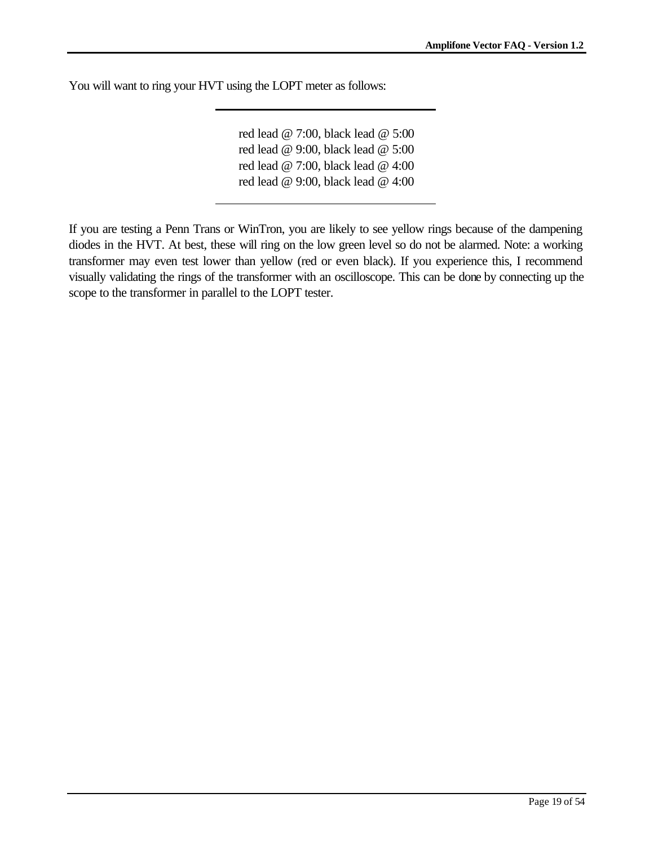You will want to ring your HVT using the LOPT meter as follows:

red lead @ 7:00, black lead @ 5:00 red lead @ 9:00, black lead @ 5:00 red lead @ 7:00, black lead @ 4:00 red lead @ 9:00, black lead @ 4:00

If you are testing a Penn Trans or WinTron, you are likely to see yellow rings because of the dampening diodes in the HVT. At best, these will ring on the low green level so do not be alarmed. Note: a working transformer may even test lower than yellow (red or even black). If you experience this, I recommend visually validating the rings of the transformer with an oscilloscope. This can be done by connecting up the scope to the transformer in parallel to the LOPT tester.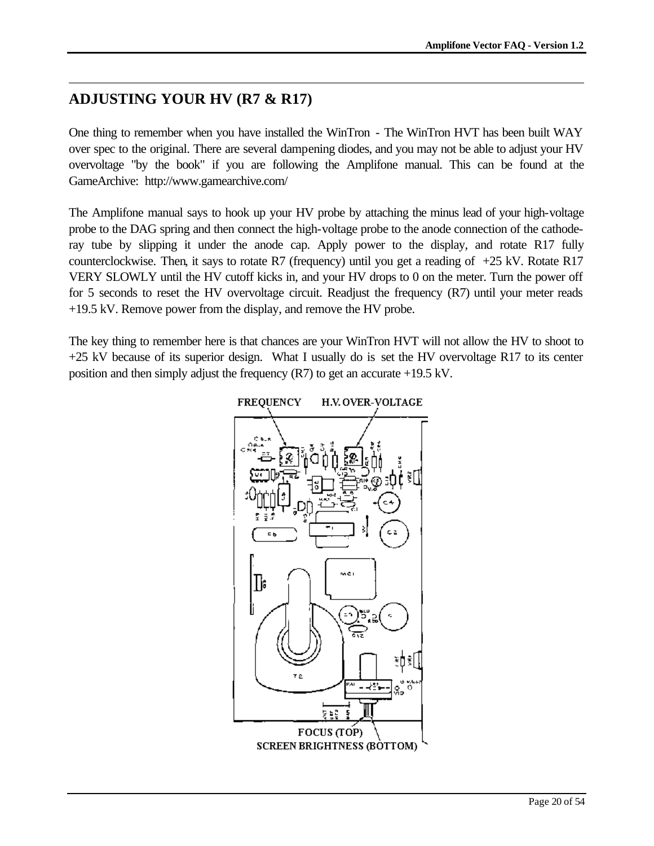# **ADJUSTING YOUR HV (R7 & R17)**

One thing to remember when you have installed the WinTron - The WinTron HVT has been built WAY over spec to the original. There are several dampening diodes, and you may not be able to adjust your HV overvoltage "by the book" if you are following the Amplifone manual. This can be found at the GameArchive: http://www.gamearchive.com/

The Amplifone manual says to hook up your HV probe by attaching the minus lead of your high-voltage probe to the DAG spring and then connect the high-voltage probe to the anode connection of the cathoderay tube by slipping it under the anode cap. Apply power to the display, and rotate R17 fully counterclockwise. Then, it says to rotate R7 (frequency) until you get a reading of  $+25$  kV. Rotate R17 VERY SLOWLY until the HV cutoff kicks in, and your HV drops to 0 on the meter. Turn the power off for 5 seconds to reset the HV overvoltage circuit. Readjust the frequency (R7) until your meter reads +19.5 kV. Remove power from the display, and remove the HV probe.

The key thing to remember here is that chances are your WinTron HVT will not allow the HV to shoot to +25 kV because of its superior design. What I usually do is set the HV overvoltage R17 to its center position and then simply adjust the frequency (R7) to get an accurate +19.5 kV.

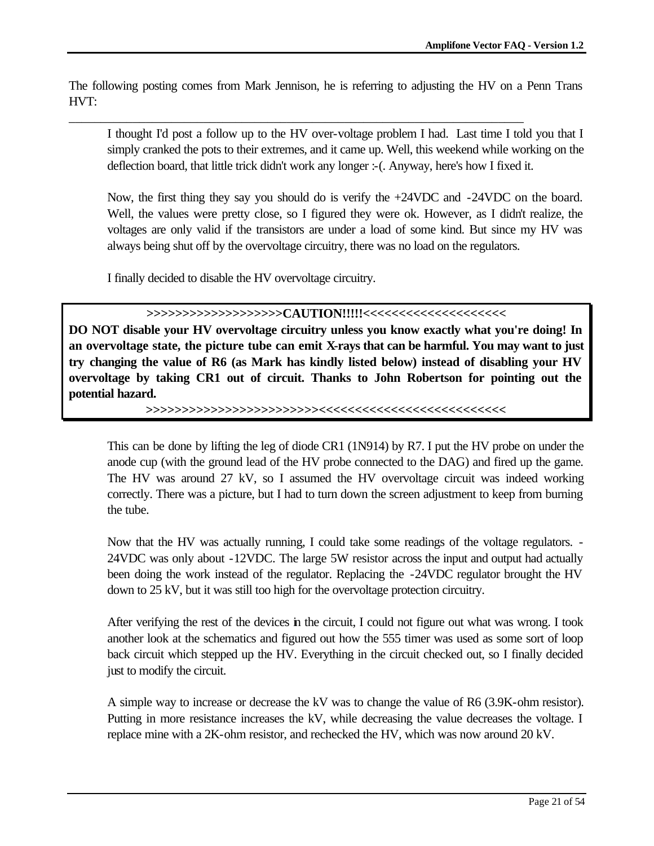The following posting comes from Mark Jennison, he is referring to adjusting the HV on a Penn Trans HVT:

\_\_\_\_\_\_\_\_\_\_\_\_\_\_\_\_\_\_\_\_\_\_\_\_\_\_\_\_\_\_\_\_\_\_\_\_\_\_\_\_\_\_\_\_\_\_\_\_\_\_\_\_\_\_\_\_\_\_\_\_\_\_\_\_\_\_\_\_\_\_\_

I thought I'd post a follow up to the HV over-voltage problem I had. Last time I told you that I simply cranked the pots to their extremes, and it came up. Well, this weekend while working on the deflection board, that little trick didn't work any longer :-(. Anyway, here's how I fixed it.

Now, the first thing they say you should do is verify the +24VDC and -24VDC on the board. Well, the values were pretty close, so I figured they were ok. However, as I didn't realize, the voltages are only valid if the transistors are under a load of some kind. But since my HV was always being shut off by the overvoltage circuitry, there was no load on the regulators.

I finally decided to disable the HV overvoltage circuitry.

**>>>>>>>>>>>>>>>>>>>CAUTION!!!!!<<<<<<<<<<<<<<<<<<<<**

**DO NOT disable your HV overvoltage circuitry unless you know exactly what you're doing! In an overvoltage state, the picture tube can emit X-rays that can be harmful. You may want to just try changing the value of R6 (as Mark has kindly listed below) instead of disabling your HV overvoltage by taking CR1 out of circuit. Thanks to John Robertson for pointing out the potential hazard.**

**>>>>>>>>>>>>>>>>>>>>>>>><<<<<<<<<<<<<<<<<<<<<<<<<<**

This can be done by lifting the leg of diode CR1 (1N914) by R7. I put the HV probe on under the anode cup (with the ground lead of the HV probe connected to the DAG) and fired up the game. The HV was around 27 kV, so I assumed the HV overvoltage circuit was indeed working correctly. There was a picture, but I had to turn down the screen adjustment to keep from burning the tube.

Now that the HV was actually running, I could take some readings of the voltage regulators. - 24VDC was only about -12VDC. The large 5W resistor across the input and output had actually been doing the work instead of the regulator. Replacing the -24VDC regulator brought the HV down to 25 kV, but it was still too high for the overvoltage protection circuitry.

After verifying the rest of the devices in the circuit, I could not figure out what was wrong. I took another look at the schematics and figured out how the 555 timer was used as some sort of loop back circuit which stepped up the HV. Everything in the circuit checked out, so I finally decided just to modify the circuit.

A simple way to increase or decrease the kV was to change the value of R6 (3.9K-ohm resistor). Putting in more resistance increases the kV, while decreasing the value decreases the voltage. I replace mine with a 2K-ohm resistor, and rechecked the HV, which was now around 20 kV.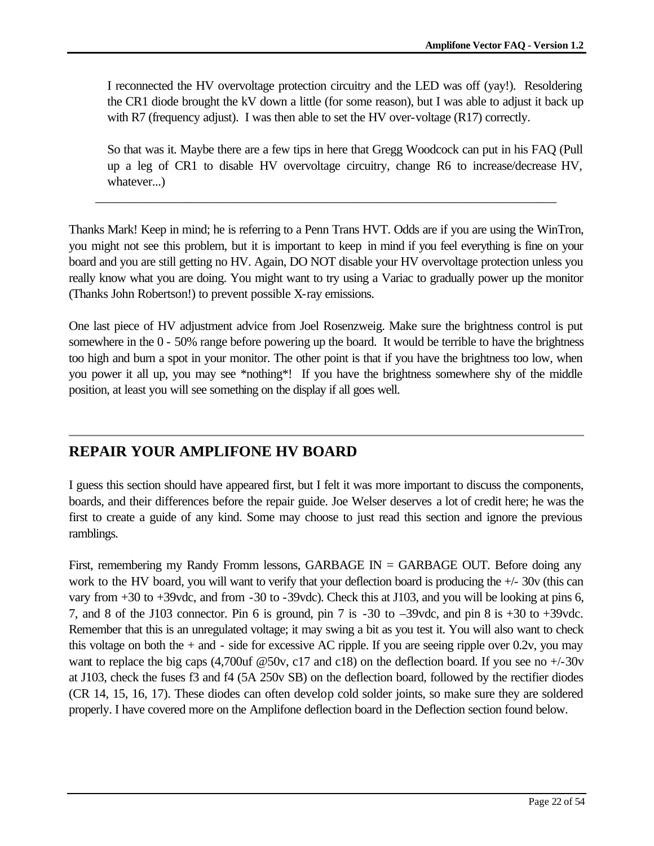I reconnected the HV overvoltage protection circuitry and the LED was off (yay!). Resoldering the CR1 diode brought the kV down a little (for some reason), but I was able to adjust it back up with R7 (frequency adjust). I was then able to set the HV over-voltage (R17) correctly.

So that was it. Maybe there are a few tips in here that Gregg Woodcock can put in his FAQ (Pull up a leg of CR1 to disable HV overvoltage circuitry, change R6 to increase/decrease HV, whatever...)

Thanks Mark! Keep in mind; he is referring to a Penn Trans HVT. Odds are if you are using the WinTron, you might not see this problem, but it is important to keep in mind if you feel everything is fine on your board and you are still getting no HV. Again, DO NOT disable your HV overvoltage protection unless you really know what you are doing. You might want to try using a Variac to gradually power up the monitor (Thanks John Robertson!) to prevent possible X-ray emissions.

\_\_\_\_\_\_\_\_\_\_\_\_\_\_\_\_\_\_\_\_\_\_\_\_\_\_\_\_\_\_\_\_\_\_\_\_\_\_\_\_\_\_\_\_\_\_\_\_\_\_\_\_\_\_\_\_\_\_\_\_\_\_\_\_\_\_\_\_\_\_\_\_

One last piece of HV adjustment advice from Joel Rosenzweig. Make sure the brightness control is put somewhere in the 0 - 50% range before powering up the board. It would be terrible to have the brightness too high and burn a spot in your monitor. The other point is that if you have the brightness too low, when you power it all up, you may see \*nothing\*! If you have the brightness somewhere shy of the middle position, at least you will see something on the display if all goes well.

## **REPAIR YOUR AMPLIFONE HV BOARD**

I guess this section should have appeared first, but I felt it was more important to discuss the components, boards, and their differences before the repair guide. Joe Welser deserves a lot of credit here; he was the first to create a guide of any kind. Some may choose to just read this section and ignore the previous ramblings.

First, remembering my Randy Fromm lessons, GARBAGE  $IN = GARBAGE$  OUT. Before doing any work to the HV board, you will want to verify that your deflection board is producing the +/- 30v (this can vary from +30 to +39vdc, and from -30 to -39vdc). Check this at J103, and you will be looking at pins 6, 7, and 8 of the J103 connector. Pin 6 is ground, pin 7 is -30 to –39vdc, and pin 8 is +30 to +39vdc. Remember that this is an unregulated voltage; it may swing a bit as you test it. You will also want to check this voltage on both the  $+$  and  $-$  side for excessive AC ripple. If you are seeing ripple over 0.2v, you may want to replace the big caps (4,700uf @50v, c17 and c18) on the deflection board. If you see no +/-30v at J103, check the fuses f3 and f4 (5A 250v SB) on the deflection board, followed by the rectifier diodes (CR 14, 15, 16, 17). These diodes can often develop cold solder joints, so make sure they are soldered properly. I have covered more on the Amplifone deflection board in the Deflection section found below.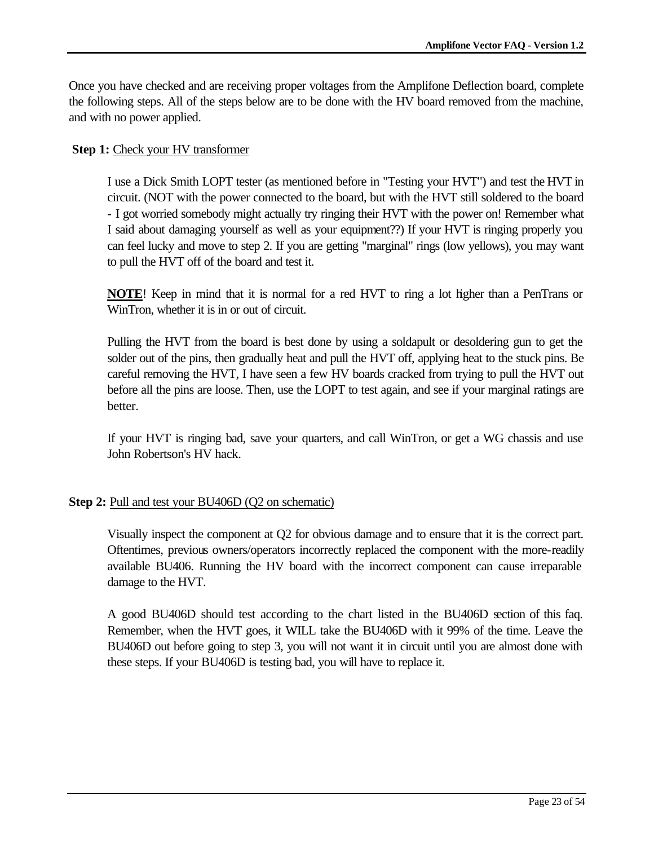Once you have checked and are receiving proper voltages from the Amplifone Deflection board, complete the following steps. All of the steps below are to be done with the HV board removed from the machine, and with no power applied.

### **Step 1:** Check your HV transformer

I use a Dick Smith LOPT tester (as mentioned before in "Testing your HVT") and test the HVT in circuit. (NOT with the power connected to the board, but with the HVT still soldered to the board - I got worried somebody might actually try ringing their HVT with the power on! Remember what I said about damaging yourself as well as your equipment??) If your HVT is ringing properly you can feel lucky and move to step 2. If you are getting "marginal" rings (low yellows), you may want to pull the HVT off of the board and test it.

**NOTE**! Keep in mind that it is normal for a red HVT to ring a lot higher than a PenTrans or WinTron, whether it is in or out of circuit.

Pulling the HVT from the board is best done by using a soldapult or desoldering gun to get the solder out of the pins, then gradually heat and pull the HVT off, applying heat to the stuck pins. Be careful removing the HVT, I have seen a few HV boards cracked from trying to pull the HVT out before all the pins are loose. Then, use the LOPT to test again, and see if your marginal ratings are better.

If your HVT is ringing bad, save your quarters, and call WinTron, or get a WG chassis and use John Robertson's HV hack.

### **Step 2:** Pull and test your BU406D (Q2 on schematic)

Visually inspect the component at Q2 for obvious damage and to ensure that it is the correct part. Oftentimes, previous owners/operators incorrectly replaced the component with the more-readily available BU406. Running the HV board with the incorrect component can cause irreparable damage to the HVT.

A good BU406D should test according to the chart listed in the BU406D section of this faq. Remember, when the HVT goes, it WILL take the BU406D with it 99% of the time. Leave the BU406D out before going to step 3, you will not want it in circuit until you are almost done with these steps. If your BU406D is testing bad, you will have to replace it.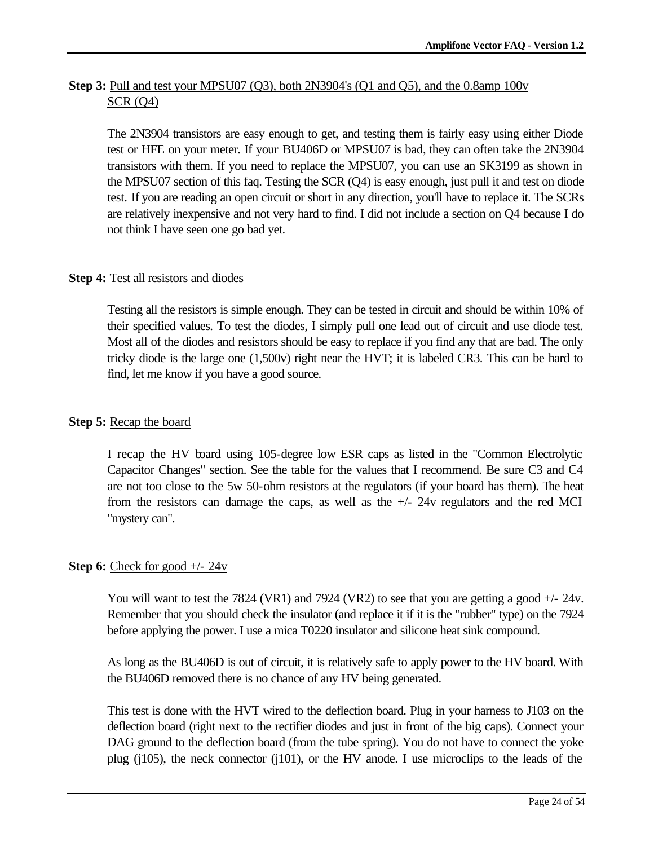## **Step 3:** Pull and test your MPSU07 (Q3), both 2N3904's (Q1 and Q5), and the 0.8amp 100v SCR (Q4)

The 2N3904 transistors are easy enough to get, and testing them is fairly easy using either Diode test or HFE on your meter. If your BU406D or MPSU07 is bad, they can often take the 2N3904 transistors with them. If you need to replace the MPSU07, you can use an SK3199 as shown in the MPSU07 section of this faq. Testing the SCR (Q4) is easy enough, just pull it and test on diode test. If you are reading an open circuit or short in any direction, you'll have to replace it. The SCRs are relatively inexpensive and not very hard to find. I did not include a section on Q4 because I do not think I have seen one go bad yet.

## **Step 4:** Test all resistors and diodes

Testing all the resistors is simple enough. They can be tested in circuit and should be within 10% of their specified values. To test the diodes, I simply pull one lead out of circuit and use diode test. Most all of the diodes and resistors should be easy to replace if you find any that are bad. The only tricky diode is the large one (1,500v) right near the HVT; it is labeled CR3. This can be hard to find, let me know if you have a good source.

## **Step 5:** Recap the board

I recap the HV board using 105-degree low ESR caps as listed in the "Common Electrolytic Capacitor Changes" section. See the table for the values that I recommend. Be sure C3 and C4 are not too close to the 5w 50-ohm resistors at the regulators (if your board has them). The heat from the resistors can damage the caps, as well as the  $+/- 24v$  regulators and the red MCI "mystery can".

### **Step 6:** Check for good  $+/- 24v$

You will want to test the 7824 (VR1) and 7924 (VR2) to see that you are getting a good  $+/- 24v$ . Remember that you should check the insulator (and replace it if it is the "rubber" type) on the 7924 before applying the power. I use a mica T0220 insulator and silicone heat sink compound.

As long as the BU406D is out of circuit, it is relatively safe to apply power to the HV board. With the BU406D removed there is no chance of any HV being generated.

This test is done with the HVT wired to the deflection board. Plug in your harness to J103 on the deflection board (right next to the rectifier diodes and just in front of the big caps). Connect your DAG ground to the deflection board (from the tube spring). You do not have to connect the yoke plug (j105), the neck connector (j101), or the HV anode. I use microclips to the leads of the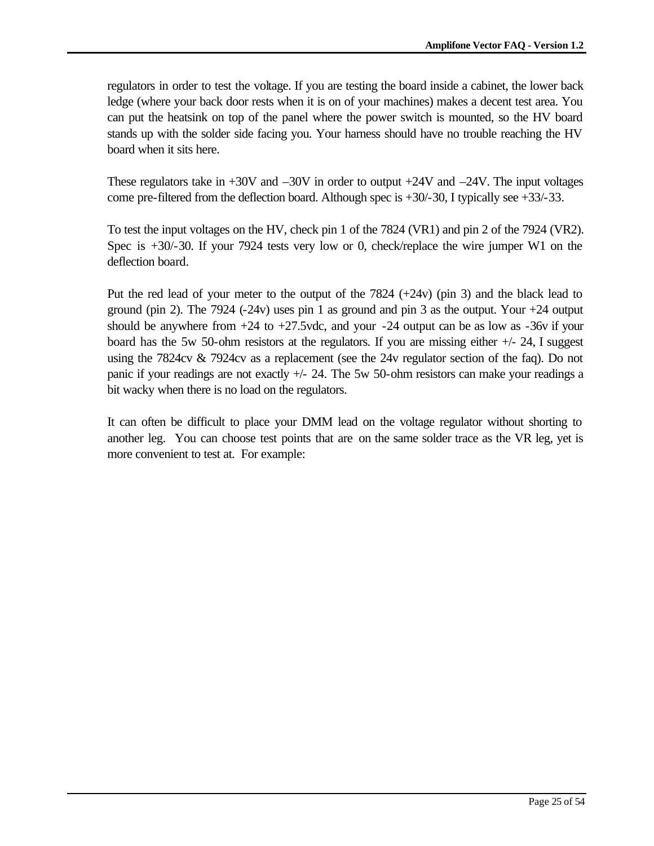regulators in order to test the voltage. If you are testing the board inside a cabinet, the lower back ledge (where your back door rests when it is on of your machines) makes a decent test area. You can put the heatsink on top of the panel where the power switch is mounted, so the HV board stands up with the solder side facing you. Your harness should have no trouble reaching the HV board when it sits here.

These regulators take in +30V and –30V in order to output +24V and –24V. The input voltages come pre-filtered from the deflection board. Although spec is  $+30/-30$ , I typically see  $+33/-33$ .

To test the input voltages on the HV, check pin 1 of the 7824 (VR1) and pin 2 of the 7924 (VR2). Spec is +30/-30. If your 7924 tests very low or 0, check/replace the wire jumper W1 on the deflection board.

Put the red lead of your meter to the output of the  $7824 (+24v)$  (pin 3) and the black lead to ground (pin 2). The 7924  $(-24v)$  uses pin 1 as ground and pin 3 as the output. Your  $+24$  output should be anywhere from  $+24$  to  $+27.5$  vdc, and your  $-24$  output can be as low as  $-36v$  if your board has the 5w 50-ohm resistors at the regulators. If you are missing either  $+/- 24$ , I suggest using the 7824cv & 7924cv as a replacement (see the 24v regulator section of the faq). Do not panic if your readings are not exactly +/- 24. The 5w 50-ohm resistors can make your readings a bit wacky when there is no load on the regulators.

It can often be difficult to place your DMM lead on the voltage regulator without shorting to another leg. You can choose test points that are on the same solder trace as the VR leg, yet is more convenient to test at. For example: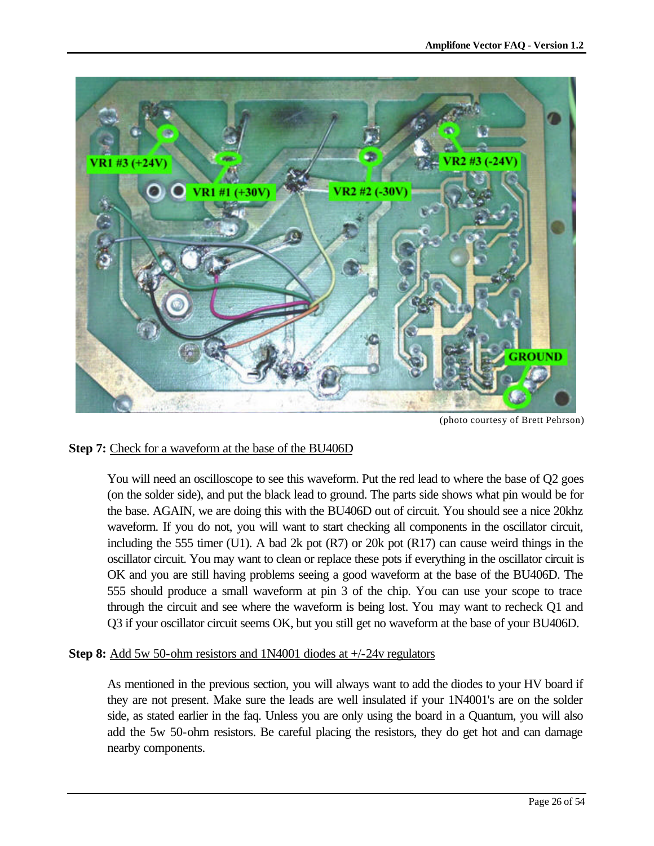

(photo courtesy of Brett Pehrson)

## **Step 7:** Check for a waveform at the base of the BU406D

You will need an oscilloscope to see this waveform. Put the red lead to where the base of Q2 goes (on the solder side), and put the black lead to ground. The parts side shows what pin would be for the base. AGAIN, we are doing this with the BU406D out of circuit. You should see a nice 20khz waveform. If you do not, you will want to start checking all components in the oscillator circuit, including the 555 timer (U1). A bad 2k pot  $(R7)$  or 20k pot  $(R17)$  can cause weird things in the oscillator circuit. You may want to clean or replace these pots if everything in the oscillator circuit is OK and you are still having problems seeing a good waveform at the base of the BU406D. The 555 should produce a small waveform at pin 3 of the chip. You can use your scope to trace through the circuit and see where the waveform is being lost. You may want to recheck Q1 and Q3 if your oscillator circuit seems OK, but you still get no waveform at the base of your BU406D.

**Step 8:** Add 5w 50-ohm resistors and 1N4001 diodes at +/-24v regulators

As mentioned in the previous section, you will always want to add the diodes to your HV board if they are not present. Make sure the leads are well insulated if your 1N4001's are on the solder side, as stated earlier in the faq. Unless you are only using the board in a Quantum, you will also add the 5w 50-ohm resistors. Be careful placing the resistors, they do get hot and can damage nearby components.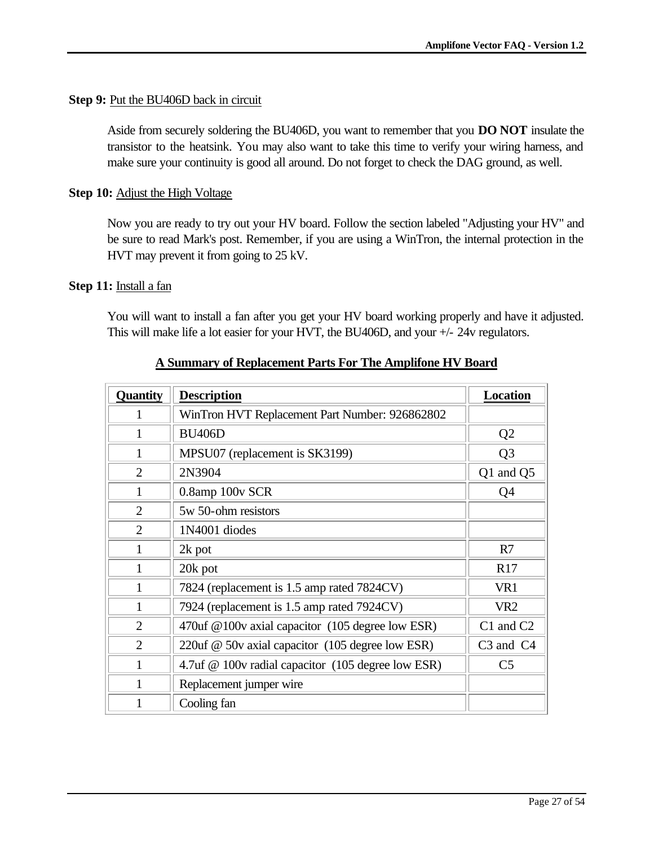### **Step 9: Put the BU406D back in circuit**

Aside from securely soldering the BU406D, you want to remember that you **DO NOT** insulate the transistor to the heatsink. You may also want to take this time to verify your wiring harness, and make sure your continuity is good all around. Do not forget to check the DAG ground, as well.

### **Step 10:** Adjust the High Voltage

Now you are ready to try out your HV board. Follow the section labeled "Adjusting your HV" and be sure to read Mark's post. Remember, if you are using a WinTron, the internal protection in the HVT may prevent it from going to 25 kV.

#### **Step 11:** Install a fan

You will want to install a fan after you get your HV board working properly and have it adjusted. This will make life a lot easier for your HVT, the BU406D, and your +/- 24v regulators.

| Quantity       | <b>Description</b>                                  | <b>Location</b> |  |  |  |
|----------------|-----------------------------------------------------|-----------------|--|--|--|
|                | WinTron HVT Replacement Part Number: 926862802      |                 |  |  |  |
| 1              | <b>BU406D</b>                                       |                 |  |  |  |
| 1              | MPSU07 (replacement is SK3199)                      | Q <sub>3</sub>  |  |  |  |
| $\overline{2}$ | 2N3904                                              | Q1 and Q5       |  |  |  |
| 1              | 0.8amp 100v SCR                                     | Q4              |  |  |  |
| $\overline{2}$ | 5w 50-ohm resistors                                 |                 |  |  |  |
| $\overline{2}$ | 1N4001 diodes                                       |                 |  |  |  |
| 1              | 2k pot                                              |                 |  |  |  |
| 1              | 20k pot                                             |                 |  |  |  |
| $\mathbf{1}$   | 7824 (replacement is 1.5 amp rated 7824CV)          | VR1             |  |  |  |
| 1              | 7924 (replacement is 1.5 amp rated 7924CV)          |                 |  |  |  |
| $\overline{2}$ | 470 uf @ 100 v axial capacitor (105 degree low ESR) | C1 and C2       |  |  |  |
| $\overline{2}$ | 220uf @ 50v axial capacitor (105 degree low ESR)    |                 |  |  |  |
| 1              | 4.7uf @ 100v radial capacitor (105 degree low ESR)  |                 |  |  |  |
| $\mathbf{1}$   | Replacement jumper wire                             |                 |  |  |  |
| 1              | Cooling fan                                         |                 |  |  |  |

#### **A Summary of Replacement Parts For The Amplifone HV Board**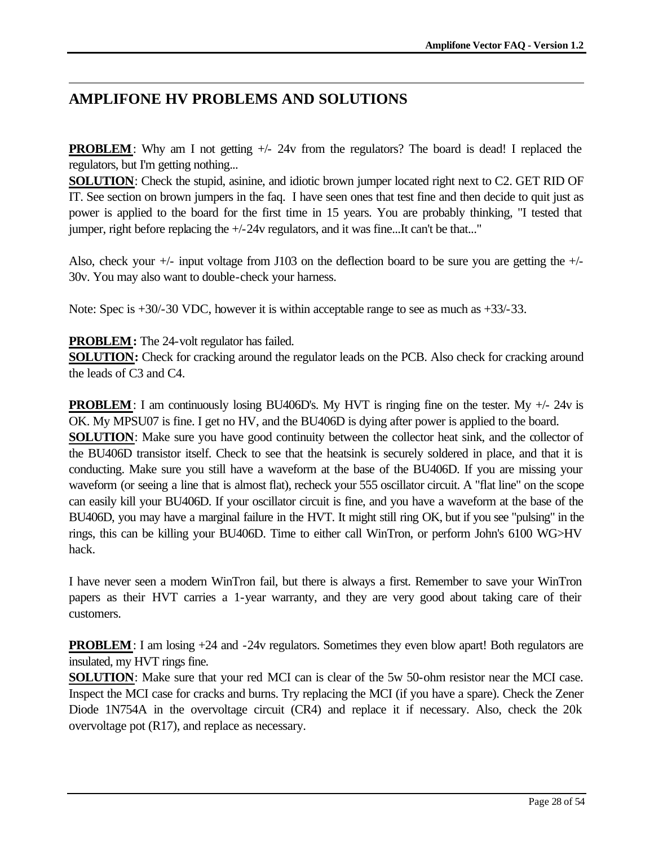# **AMPLIFONE HV PROBLEMS AND SOLUTIONS**

**PROBLEM**: Why am I not getting  $+\frac{1}{2}$  from the regulators? The board is dead! I replaced the regulators, but I'm getting nothing...

**SOLUTION**: Check the stupid, asinine, and idiotic brown jumper located right next to C2. GET RID OF IT. See section on brown jumpers in the faq. I have seen ones that test fine and then decide to quit just as power is applied to the board for the first time in 15 years. You are probably thinking, "I tested that jumper, right before replacing the +/-24v regulators, and it was fine...It can't be that..."

Also, check your +/- input voltage from J103 on the deflection board to be sure you are getting the +/- 30v. You may also want to double-check your harness.

Note: Spec is  $+30/30$  VDC, however it is within acceptable range to see as much as  $+33/33$ .

## **PROBLEM:** The 24-volt regulator has failed.

**SOLUTION:** Check for cracking around the regulator leads on the PCB. Also check for cracking around the leads of C3 and C4.

**PROBLEM**: I am continuously losing BU406D's. My HVT is ringing fine on the tester. My  $+/- 24v$  is OK. My MPSU07 is fine. I get no HV, and the BU406D is dying after power is applied to the board. **SOLUTION**: Make sure you have good continuity between the collector heat sink, and the collector of the BU406D transistor itself. Check to see that the heatsink is securely soldered in place, and that it is

conducting. Make sure you still have a waveform at the base of the BU406D. If you are missing your waveform (or seeing a line that is almost flat), recheck your 555 oscillator circuit. A "flat line" on the scope can easily kill your BU406D. If your oscillator circuit is fine, and you have a waveform at the base of the BU406D, you may have a marginal failure in the HVT. It might still ring OK, but if you see "pulsing" in the rings, this can be killing your BU406D. Time to either call WinTron, or perform John's 6100 WG>HV hack.

I have never seen a modern WinTron fail, but there is always a first. Remember to save your WinTron papers as their HVT carries a 1-year warranty, and they are very good about taking care of their customers.

**PROBLEM**: I am losing  $+24$  and  $-24v$  regulators. Sometimes they even blow apart! Both regulators are insulated, my HVT rings fine.

**SOLUTION**: Make sure that your red MCI can is clear of the 5w 50-ohm resistor near the MCI case. Inspect the MCI case for cracks and burns. Try replacing the MCI (if you have a spare). Check the Zener Diode 1N754A in the overvoltage circuit (CR4) and replace it if necessary. Also, check the 20k overvoltage pot (R17), and replace as necessary.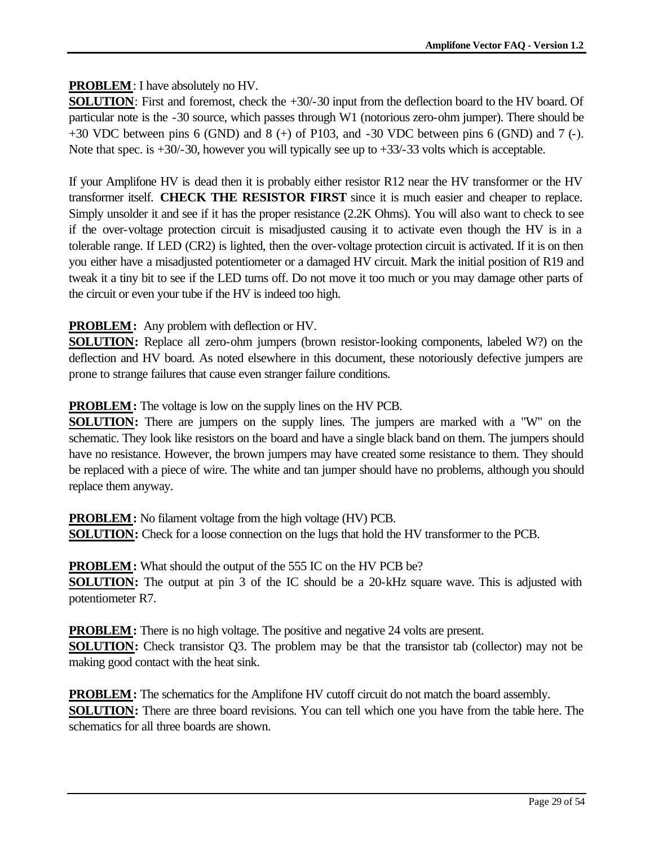## **PROBLEM**: I have absolutely no HV.

**SOLUTION**: First and foremost, check the +30/-30 input from the deflection board to the HV board. Of particular note is the -30 source, which passes through W1 (notorious zero-ohm jumper). There should be  $+30$  VDC between pins 6 (GND) and 8 ( $+$ ) of P103, and -30 VDC between pins 6 (GND) and 7 (-). Note that spec. is  $+30/-30$ , however you will typically see up to  $+33/-33$  volts which is acceptable.

If your Amplifone HV is dead then it is probably either resistor R12 near the HV transformer or the HV transformer itself. **CHECK THE RESISTOR FIRST** since it is much easier and cheaper to replace. Simply unsolder it and see if it has the proper resistance (2.2K Ohms). You will also want to check to see if the over-voltage protection circuit is misadjusted causing it to activate even though the HV is in a tolerable range. If LED (CR2) is lighted, then the over-voltage protection circuit is activated. If it is on then you either have a misadjusted potentiometer or a damaged HV circuit. Mark the initial position of R19 and tweak it a tiny bit to see if the LED turns off. Do not move it too much or you may damage other parts of the circuit or even your tube if the HV is indeed too high.

## **PROBLEM:** Any problem with deflection or HV.

**SOLUTION:** Replace all zero-ohm jumpers (brown resistor-looking components, labeled W?) on the deflection and HV board. As noted elsewhere in this document, these notoriously defective jumpers are prone to strange failures that cause even stranger failure conditions.

## **PROBLEM:** The voltage is low on the supply lines on the HV PCB.

**SOLUTION:** There are jumpers on the supply lines. The jumpers are marked with a "W" on the schematic. They look like resistors on the board and have a single black band on them. The jumpers should have no resistance. However, the brown jumpers may have created some resistance to them. They should be replaced with a piece of wire. The white and tan jumper should have no problems, although you should replace them anyway.

**PROBLEM:** No filament voltage from the high voltage (HV) PCB. **SOLUTION:** Check for a loose connection on the lugs that hold the HV transformer to the PCB.

**PROBLEM:** What should the output of the 555 IC on the HV PCB be? **SOLUTION:** The output at pin 3 of the IC should be a 20-kHz square wave. This is adjusted with potentiometer R7.

**PROBLEM:** There is no high voltage. The positive and negative 24 volts are present. **SOLUTION:** Check transistor Q3. The problem may be that the transistor tab (collector) may not be making good contact with the heat sink.

**PROBLEM:** The schematics for the Amplifone HV cutoff circuit do not match the board assembly. **SOLUTION:** There are three board revisions. You can tell which one you have from the table here. The schematics for all three boards are shown.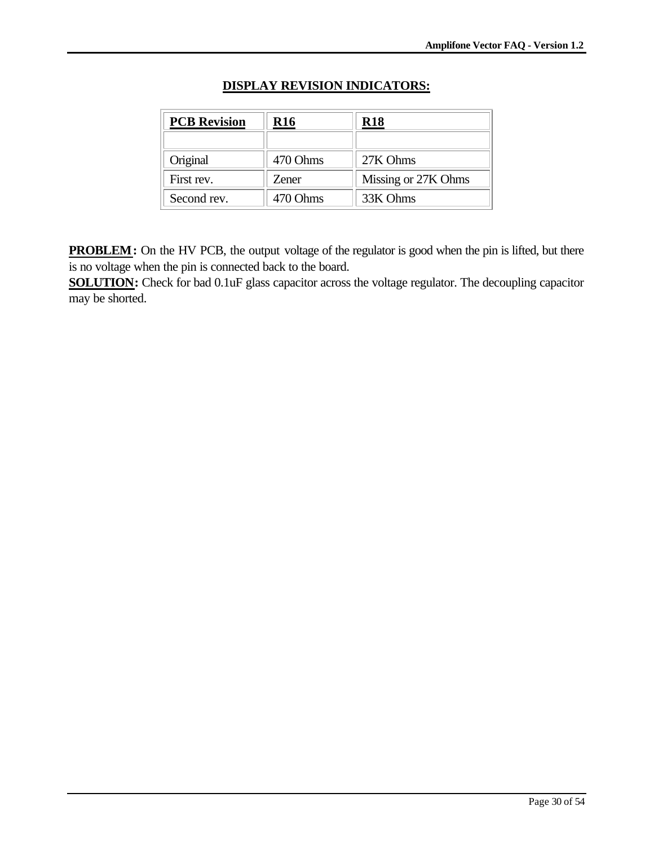| <b>PCB Revision</b> | <b>R16</b>           | R18                 |  |  |
|---------------------|----------------------|---------------------|--|--|
|                     |                      |                     |  |  |
| Original            | 470 Ohms             | 27K Ohms            |  |  |
| First rev.          | <b>Zener</b>         | Missing or 27K Ohms |  |  |
| Second rev.         | 33K Ohms<br>470 Ohms |                     |  |  |

## **DISPLAY REVISION INDICATORS:**

**PROBLEM:** On the HV PCB, the output voltage of the regulator is good when the pin is lifted, but there is no voltage when the pin is connected back to the board.

**SOLUTION:** Check for bad 0.1uF glass capacitor across the voltage regulator. The decoupling capacitor may be shorted.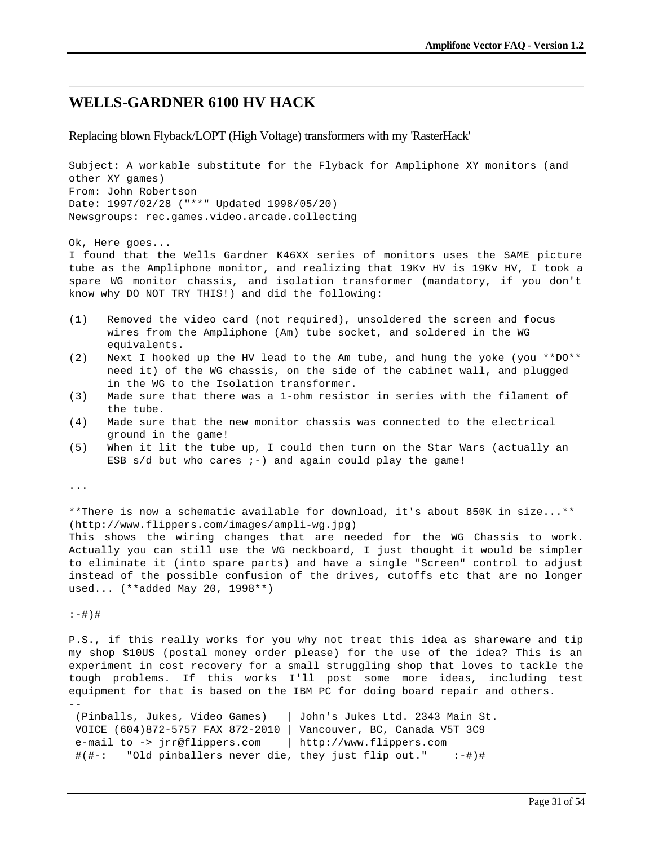## **WELLS-GARDNER 6100 HV HACK**

Replacing blown Flyback/LOPT (High Voltage) transformers with my 'RasterHack'

Subject: A workable substitute for the Flyback for Ampliphone XY monitors (and other XY games) From: John Robertson Date: 1997/02/28 ("\*\*" Updated 1998/05/20) Newsgroups: rec.games.video.arcade.collecting

Ok, Here goes...

I found that the Wells Gardner K46XX series of monitors uses the SAME picture tube as the Ampliphone monitor, and realizing that 19Kv HV is 19Kv HV, I took a spare WG monitor chassis, and isolation transformer (mandatory, if you don't know why DO NOT TRY THIS!) and did the following:

- (1) Removed the video card (not required), unsoldered the screen and focus wires from the Ampliphone (Am) tube socket, and soldered in the WG equivalents.
- (2) Next I hooked up the HV lead to the Am tube, and hung the yoke (you \*\*DO\*\* need it) of the WG chassis, on the side of the cabinet wall, and plugged in the WG to the Isolation transformer.
- (3) Made sure that there was a 1-ohm resistor in series with the filament of the tube.
- (4) Made sure that the new monitor chassis was connected to the electrical ground in the game!
- (5) When it lit the tube up, I could then turn on the Star Wars (actually an ESB  $s/d$  but who cares  $i-$ ) and again could play the game!

...

\*\*There is now a schematic available for download, it's about 850K in size...\*\* (http://www.flippers.com/images/ampli-wg.jpg) This shows the wiring changes that are needed for the WG Chassis to work. Actually you can still use the WG neckboard, I just thought it would be simpler to eliminate it (into spare parts) and have a single "Screen" control to adjust instead of the possible confusion of the drives, cutoffs etc that are no longer used... (\*\*added May 20, 1998\*\*)

:-#)#

--

P.S., if this really works for you why not treat this idea as shareware and tip my shop \$10US (postal money order please) for the use of the idea? This is an experiment in cost recovery for a small struggling shop that loves to tackle the tough problems. If this works I'll post some more ideas, including test equipment for that is based on the IBM PC for doing board repair and others.

 (Pinballs, Jukes, Video Games) | John's Jukes Ltd. 2343 Main St. VOICE (604)872-5757 FAX 872-2010 | Vancouver, BC, Canada V5T 3C9 e-mail to -> jrr@flippers.com | http://www.flippers.com #(#-: "Old pinballers never die, they just flip out." :-#)#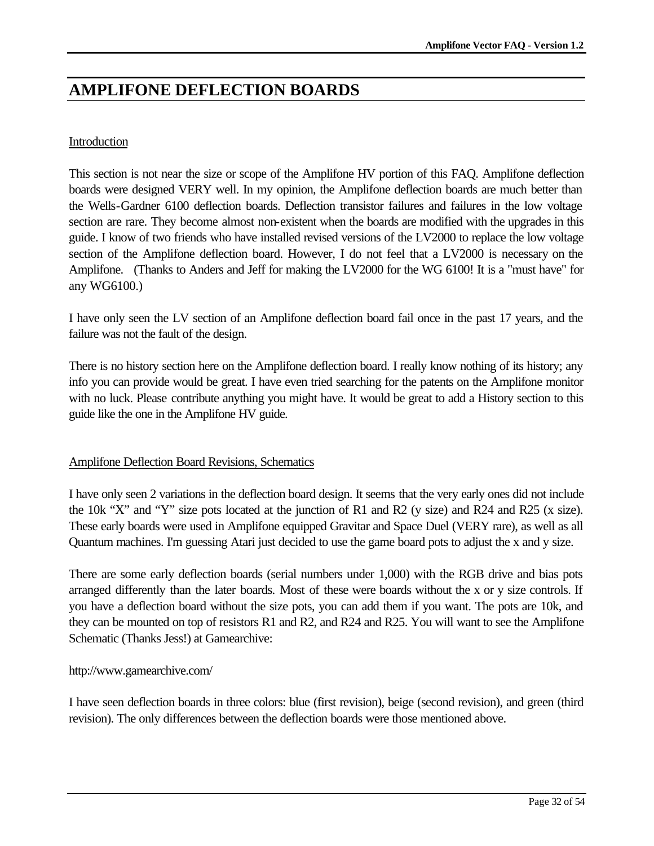# **AMPLIFONE DEFLECTION BOARDS**

### Introduction

This section is not near the size or scope of the Amplifone HV portion of this FAQ. Amplifone deflection boards were designed VERY well. In my opinion, the Amplifone deflection boards are much better than the Wells-Gardner 6100 deflection boards. Deflection transistor failures and failures in the low voltage section are rare. They become almost non-existent when the boards are modified with the upgrades in this guide. I know of two friends who have installed revised versions of the LV2000 to replace the low voltage section of the Amplifone deflection board. However, I do not feel that a LV2000 is necessary on the Amplifone. (Thanks to Anders and Jeff for making the LV2000 for the WG 6100! It is a "must have" for any WG6100.)

I have only seen the LV section of an Amplifone deflection board fail once in the past 17 years, and the failure was not the fault of the design.

There is no history section here on the Amplifone deflection board. I really know nothing of its history; any info you can provide would be great. I have even tried searching for the patents on the Amplifone monitor with no luck. Please contribute anything you might have. It would be great to add a History section to this guide like the one in the Amplifone HV guide.

### Amplifone Deflection Board Revisions, Schematics

I have only seen 2 variations in the deflection board design. It seems that the very early ones did not include the 10k "X" and "Y" size pots located at the junction of R1 and R2 (y size) and R24 and R25 (x size). These early boards were used in Amplifone equipped Gravitar and Space Duel (VERY rare), as well as all Quantum machines. I'm guessing Atari just decided to use the game board pots to adjust the x and y size.

There are some early deflection boards (serial numbers under 1,000) with the RGB drive and bias pots arranged differently than the later boards. Most of these were boards without the x or y size controls. If you have a deflection board without the size pots, you can add them if you want. The pots are 10k, and they can be mounted on top of resistors R1 and R2, and R24 and R25. You will want to see the Amplifone Schematic (Thanks Jess!) at Gamearchive:

#### http://www.gamearchive.com/

I have seen deflection boards in three colors: blue (first revision), beige (second revision), and green (third revision). The only differences between the deflection boards were those mentioned above.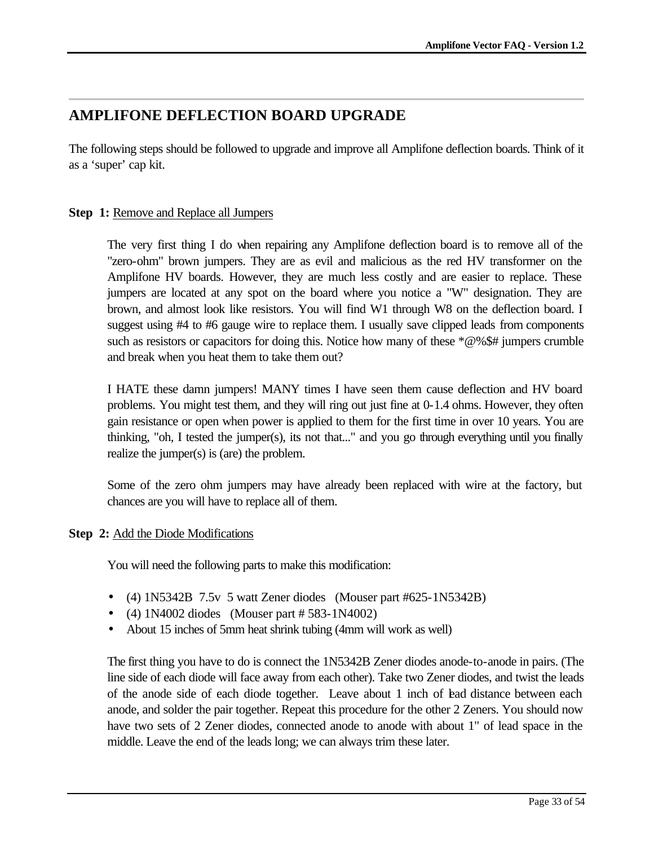## **AMPLIFONE DEFLECTION BOARD UPGRADE**

The following steps should be followed to upgrade and improve all Amplifone deflection boards. Think of it as a 'super' cap kit.

## **Step 1:** Remove and Replace all Jumpers

The very first thing I do when repairing any Amplifone deflection board is to remove all of the "zero-ohm" brown jumpers. They are as evil and malicious as the red HV transformer on the Amplifone HV boards. However, they are much less costly and are easier to replace. These jumpers are located at any spot on the board where you notice a "W" designation. They are brown, and almost look like resistors. You will find W1 through W8 on the deflection board. I suggest using #4 to #6 gauge wire to replace them. I usually save clipped leads from components such as resistors or capacitors for doing this. Notice how many of these \*@%\$# jumpers crumble and break when you heat them to take them out?

I HATE these damn jumpers! MANY times I have seen them cause deflection and HV board problems. You might test them, and they will ring out just fine at 0-1.4 ohms. However, they often gain resistance or open when power is applied to them for the first time in over 10 years. You are thinking, "oh, I tested the jumper(s), its not that..." and you go through everything until you finally realize the jumper(s) is (are) the problem.

Some of the zero ohm jumpers may have already been replaced with wire at the factory, but chances are you will have to replace all of them.

## **Step 2:** Add the Diode Modifications

You will need the following parts to make this modification:

- (4) 1N5342B 7.5v 5 watt Zener diodes (Mouser part #625-1N5342B)
- (4)  $1N4002$  diodes (Mouser part # 583-1N4002)
- About 15 inches of 5mm heat shrink tubing (4mm will work as well)

The first thing you have to do is connect the 1N5342B Zener diodes anode-to-anode in pairs. (The line side of each diode will face away from each other). Take two Zener diodes, and twist the leads of the anode side of each diode together. Leave about 1 inch of lead distance between each anode, and solder the pair together. Repeat this procedure for the other 2 Zeners. You should now have two sets of 2 Zener diodes, connected anode to anode with about 1" of lead space in the middle. Leave the end of the leads long; we can always trim these later.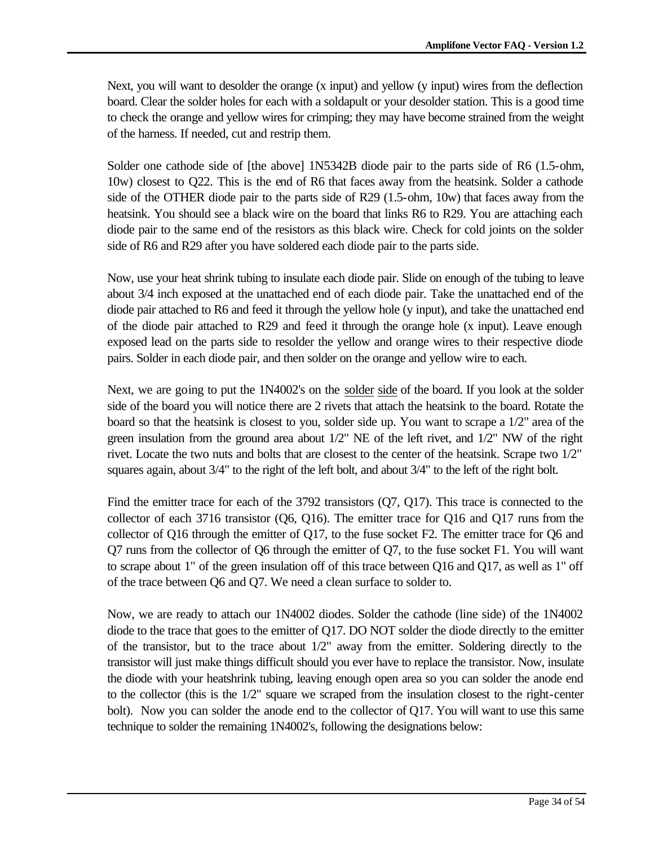Next, you will want to desolder the orange (x input) and yellow (y input) wires from the deflection board. Clear the solder holes for each with a soldapult or your desolder station. This is a good time to check the orange and yellow wires for crimping; they may have become strained from the weight of the harness. If needed, cut and restrip them.

Solder one cathode side of [the above] 1N5342B diode pair to the parts side of R6 (1.5-ohm, 10w) closest to Q22. This is the end of R6 that faces away from the heatsink. Solder a cathode side of the OTHER diode pair to the parts side of R29 (1.5-ohm, 10w) that faces away from the heatsink. You should see a black wire on the board that links R6 to R29. You are attaching each diode pair to the same end of the resistors as this black wire. Check for cold joints on the solder side of R6 and R29 after you have soldered each diode pair to the parts side.

Now, use your heat shrink tubing to insulate each diode pair. Slide on enough of the tubing to leave about 3/4 inch exposed at the unattached end of each diode pair. Take the unattached end of the diode pair attached to R6 and feed it through the yellow hole (y input), and take the unattached end of the diode pair attached to R29 and feed it through the orange hole (x input). Leave enough exposed lead on the parts side to resolder the yellow and orange wires to their respective diode pairs. Solder in each diode pair, and then solder on the orange and yellow wire to each.

Next, we are going to put the 1N4002's on the solder side of the board. If you look at the solder side of the board you will notice there are 2 rivets that attach the heatsink to the board. Rotate the board so that the heatsink is closest to you, solder side up. You want to scrape a 1/2" area of the green insulation from the ground area about 1/2" NE of the left rivet, and 1/2" NW of the right rivet. Locate the two nuts and bolts that are closest to the center of the heatsink. Scrape two 1/2" squares again, about 3/4" to the right of the left bolt, and about 3/4" to the left of the right bolt.

Find the emitter trace for each of the 3792 transistors (Q7, Q17). This trace is connected to the collector of each 3716 transistor (Q6, Q16). The emitter trace for Q16 and Q17 runs from the collector of Q16 through the emitter of Q17, to the fuse socket F2. The emitter trace for Q6 and Q7 runs from the collector of Q6 through the emitter of Q7, to the fuse socket F1. You will want to scrape about 1" of the green insulation off of this trace between Q16 and Q17, as well as 1" off of the trace between Q6 and Q7. We need a clean surface to solder to.

Now, we are ready to attach our 1N4002 diodes. Solder the cathode (line side) of the 1N4002 diode to the trace that goes to the emitter of Q17. DO NOT solder the diode directly to the emitter of the transistor, but to the trace about 1/2" away from the emitter. Soldering directly to the transistor will just make things difficult should you ever have to replace the transistor. Now, insulate the diode with your heatshrink tubing, leaving enough open area so you can solder the anode end to the collector (this is the 1/2" square we scraped from the insulation closest to the right-center bolt). Now you can solder the anode end to the collector of Q17. You will want to use this same technique to solder the remaining 1N4002's, following the designations below: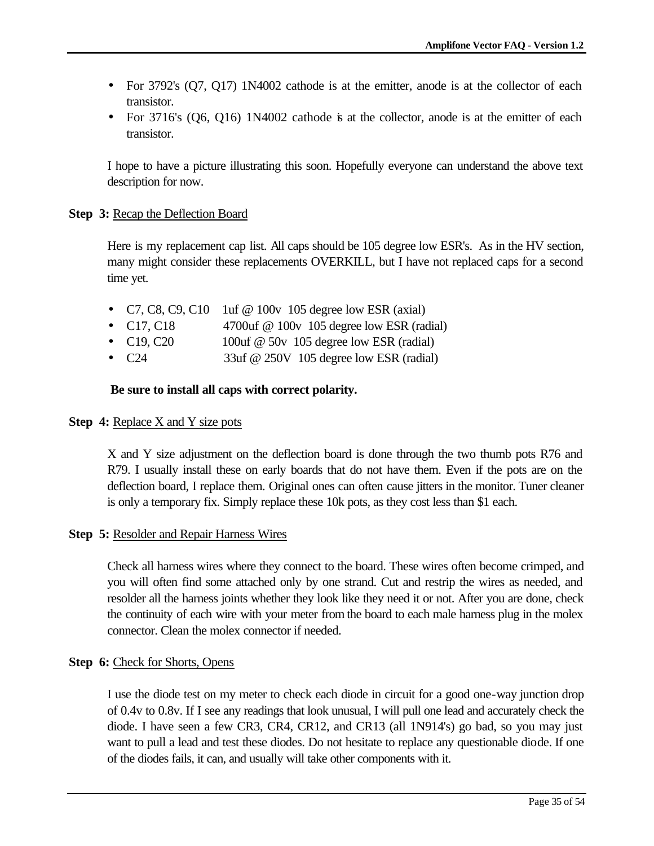- For 3792's (Q7, Q17) 1N4002 cathode is at the emitter, anode is at the collector of each transistor.
- For  $3716$ 's  $(06, 016)$  1N4002 cathode is at the collector, anode is at the emitter of each transistor.

I hope to have a picture illustrating this soon. Hopefully everyone can understand the above text description for now.

#### **Step 3:** Recap the Deflection Board

Here is my replacement cap list. All caps should be 105 degree low ESR's. As in the HV section, many might consider these replacements OVERKILL, but I have not replaced caps for a second time yet.

- C7, C8, C9, C10 1uf @ 100v 105 degree low ESR (axial)
- C17, C18 4700uf @ 100v 105 degree low ESR (radial)
- $C19, C20$  100uf @ 50v 105 degree low ESR (radial)
- C24 33uf @ 250V 105 degree low ESR (radial)

#### **Be sure to install all caps with correct polarity.**

#### **Step 4:** Replace X and Y size pots

X and Y size adjustment on the deflection board is done through the two thumb pots R76 and R79. I usually install these on early boards that do not have them. Even if the pots are on the deflection board, I replace them. Original ones can often cause jitters in the monitor. Tuner cleaner is only a temporary fix. Simply replace these 10k pots, as they cost less than \$1 each.

#### **Step 5:** Resolder and Repair Harness Wires

Check all harness wires where they connect to the board. These wires often become crimped, and you will often find some attached only by one strand. Cut and restrip the wires as needed, and resolder all the harness joints whether they look like they need it or not. After you are done, check the continuity of each wire with your meter from the board to each male harness plug in the molex connector. Clean the molex connector if needed.

#### **Step 6:** Check for Shorts, Opens

I use the diode test on my meter to check each diode in circuit for a good one-way junction drop of 0.4v to 0.8v. If I see any readings that look unusual, I will pull one lead and accurately check the diode. I have seen a few CR3, CR4, CR12, and CR13 (all 1N914's) go bad, so you may just want to pull a lead and test these diodes. Do not hesitate to replace any questionable diode. If one of the diodes fails, it can, and usually will take other components with it.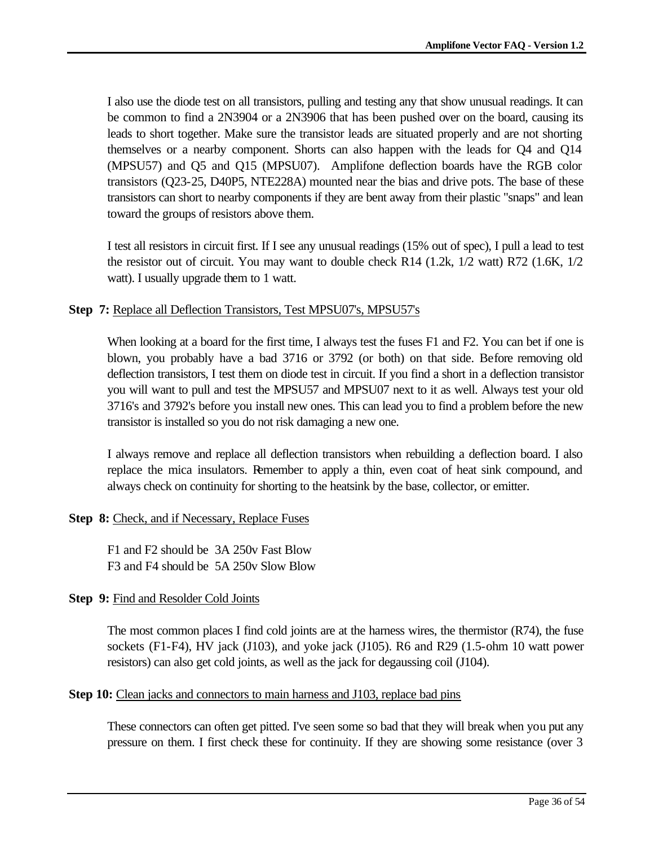I also use the diode test on all transistors, pulling and testing any that show unusual readings. It can be common to find a 2N3904 or a 2N3906 that has been pushed over on the board, causing its leads to short together. Make sure the transistor leads are situated properly and are not shorting themselves or a nearby component. Shorts can also happen with the leads for Q4 and Q14 (MPSU57) and Q5 and Q15 (MPSU07). Amplifone deflection boards have the RGB color transistors (Q23-25, D40P5, NTE228A) mounted near the bias and drive pots. The base of these transistors can short to nearby components if they are bent away from their plastic "snaps" and lean toward the groups of resistors above them.

I test all resistors in circuit first. If I see any unusual readings (15% out of spec), I pull a lead to test the resistor out of circuit. You may want to double check R14 (1.2k, 1/2 watt) R72 (1.6K, 1/2 watt). I usually upgrade them to 1 watt.

#### **Step 7:** Replace all Deflection Transistors, Test MPSU07's, MPSU57's

When looking at a board for the first time, I always test the fuses F1 and F2. You can bet if one is blown, you probably have a bad 3716 or 3792 (or both) on that side. Before removing old deflection transistors, I test them on diode test in circuit. If you find a short in a deflection transistor you will want to pull and test the MPSU57 and MPSU07 next to it as well. Always test your old 3716's and 3792's before you install new ones. This can lead you to find a problem before the new transistor is installed so you do not risk damaging a new one.

I always remove and replace all deflection transistors when rebuilding a deflection board. I also replace the mica insulators. Remember to apply a thin, even coat of heat sink compound, and always check on continuity for shorting to the heatsink by the base, collector, or emitter.

### **Step 8:** Check, and if Necessary, Replace Fuses

F1 and F2 should be 3A 250v Fast Blow F3 and F4 should be 5A 250v Slow Blow

### **Step 9:** Find and Resolder Cold Joints

The most common places I find cold joints are at the harness wires, the thermistor (R74), the fuse sockets (F1-F4), HV jack (J103), and yoke jack (J105). R6 and R29 (1.5-ohm 10 watt power resistors) can also get cold joints, as well as the jack for degaussing coil (J104).

### **Step 10:** Clean jacks and connectors to main harness and J103, replace bad pins

These connectors can often get pitted. I've seen some so bad that they will break when you put any pressure on them. I first check these for continuity. If they are showing some resistance (over 3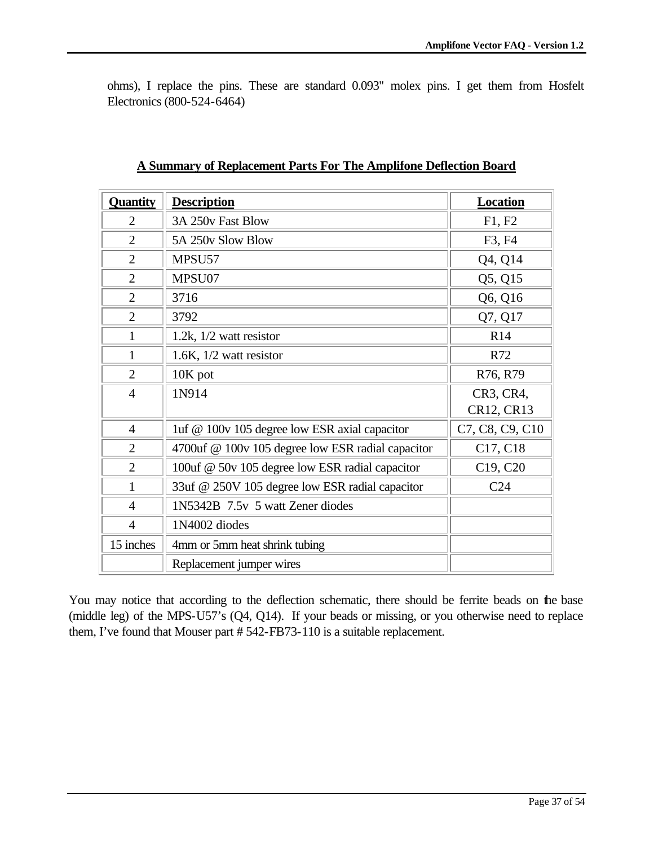ohms), I replace the pins. These are standard 0.093" molex pins. I get them from Hosfelt Electronics (800-524-6464)

| <b>Quantity</b> | <b>Description</b>                                | Location        |
|-----------------|---------------------------------------------------|-----------------|
| $\overline{2}$  | 3A 250v Fast Blow                                 | F1, F2          |
| $\overline{2}$  | 5A 250y Slow Blow                                 | F3, F4          |
| $\overline{2}$  | MPSU57                                            | Q4, Q14         |
| $\overline{2}$  | MPSU07                                            | Q5, Q15         |
| $\overline{2}$  | 3716                                              | Q6, Q16         |
| $\overline{2}$  | 3792                                              | Q7, Q17         |
| 1               | 1.2k, $1/2$ watt resistor                         | R <sub>14</sub> |
| 1               | 1.6K, $1/2$ watt resistor                         | R72             |
| $\overline{2}$  | $10K$ pot                                         | R76, R79        |
| $\overline{4}$  | 1N914                                             | CR3, CR4,       |
|                 |                                                   | CR12, CR13      |
| $\overline{4}$  | 1uf @ 100v 105 degree low ESR axial capacitor     | C7, C8, C9, C10 |
| $\overline{2}$  | 4700uf @ 100v 105 degree low ESR radial capacitor | C17, C18        |
| $\overline{2}$  | 100uf @ 50v 105 degree low ESR radial capacitor   | C19, C20        |
| 1               | 33uf @ 250V 105 degree low ESR radial capacitor   | C <sub>24</sub> |
| $\overline{4}$  | 1N5342B 7.5v 5 watt Zener diodes                  |                 |
| $\overline{4}$  | 1N4002 diodes                                     |                 |
| 15 inches       | 4mm or 5mm heat shrink tubing                     |                 |
|                 | Replacement jumper wires                          |                 |

|  |  |  |  | A Summary of Replacement Parts For The Amplifone Deflection Board |  |
|--|--|--|--|-------------------------------------------------------------------|--|
|  |  |  |  |                                                                   |  |

You may notice that according to the deflection schematic, there should be ferrite beads on the base (middle leg) of the MPS-U57's (Q4, Q14). If your beads or missing, or you otherwise need to replace them, I've found that Mouser part # 542-FB73-110 is a suitable replacement.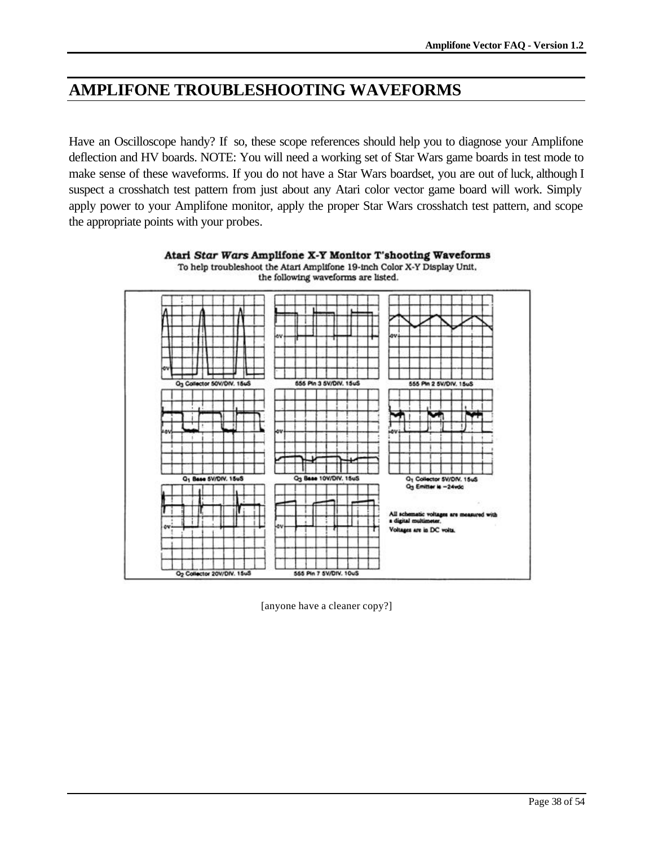# **AMPLIFONE TROUBLESHOOTING WAVEFORMS**

Have an Oscilloscope handy? If so, these scope references should help you to diagnose your Amplifone deflection and HV boards. NOTE: You will need a working set of Star Wars game boards in test mode to make sense of these waveforms. If you do not have a Star Wars boardset, you are out of luck, although I suspect a crosshatch test pattern from just about any Atari color vector game board will work. Simply apply power to your Amplifone monitor, apply the proper Star Wars crosshatch test pattern, and scope the appropriate points with your probes.



Atari Star Wars Amplifone X-Y Monitor T'shooting Waveforms To help troubleshoot the Atari Amplifone 19-inch Color X-Y Display Unit, the following waveforms are listed.

[anyone have a cleaner copy?]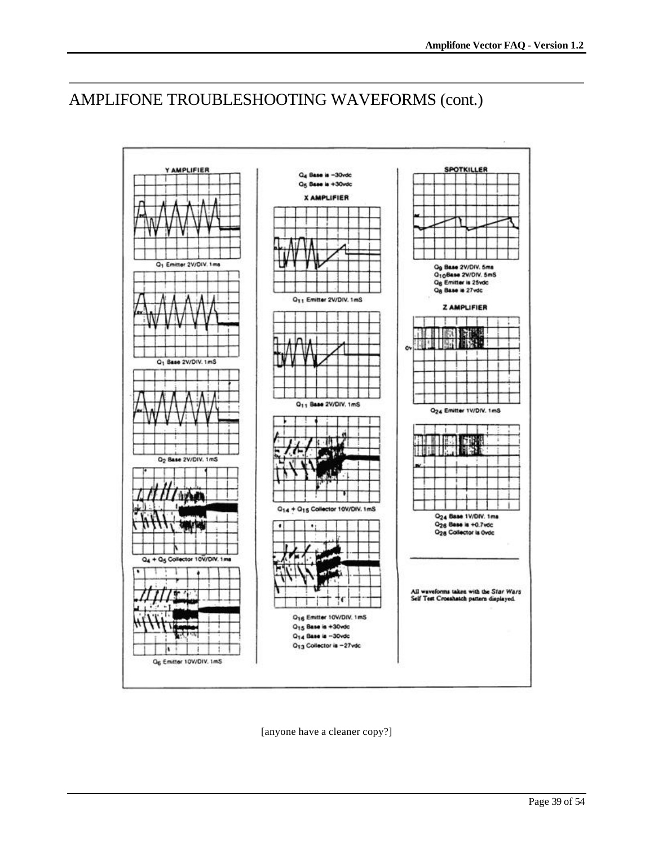# AMPLIFONE TROUBLESHOOTING WAVEFORMS (cont.)



[anyone have a cleaner copy?]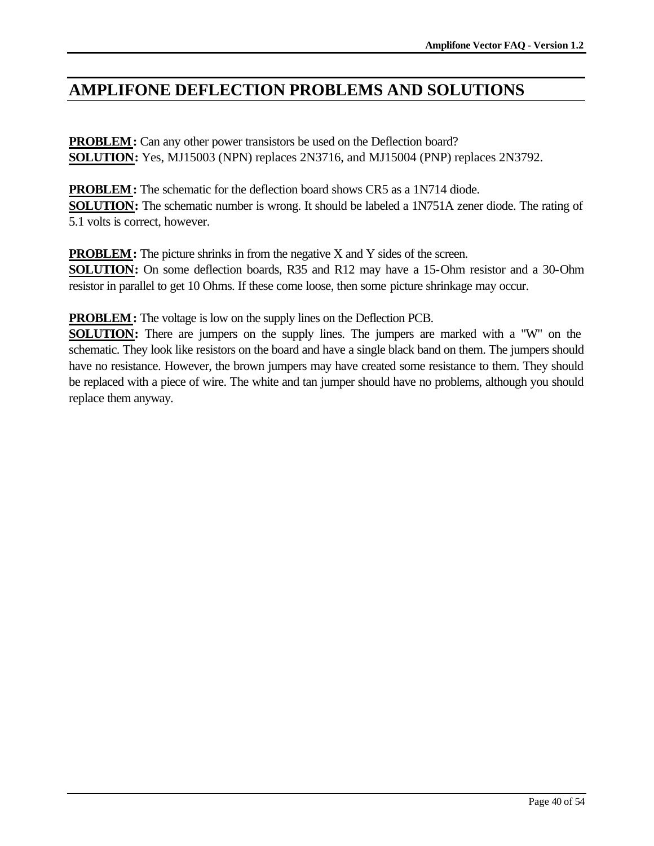# **AMPLIFONE DEFLECTION PROBLEMS AND SOLUTIONS**

**PROBLEM:** Can any other power transistors be used on the Deflection board? **SOLUTION:** Yes, MJ15003 (NPN) replaces 2N3716, and MJ15004 (PNP) replaces 2N3792.

**PROBLEM:** The schematic for the deflection board shows CR5 as a 1N714 diode. **SOLUTION:** The schematic number is wrong. It should be labeled a 1N751A zener diode. The rating of 5.1 volts is correct, however.

**PROBLEM:** The picture shrinks in from the negative X and Y sides of the screen.

**SOLUTION:** On some deflection boards, R35 and R12 may have a 15-Ohm resistor and a 30-Ohm resistor in parallel to get 10 Ohms. If these come loose, then some picture shrinkage may occur.

**PROBLEM:** The voltage is low on the supply lines on the Deflection PCB.

**SOLUTION:** There are jumpers on the supply lines. The jumpers are marked with a "W" on the schematic. They look like resistors on the board and have a single black band on them. The jumpers should have no resistance. However, the brown jumpers may have created some resistance to them. They should be replaced with a piece of wire. The white and tan jumper should have no problems, although you should replace them anyway.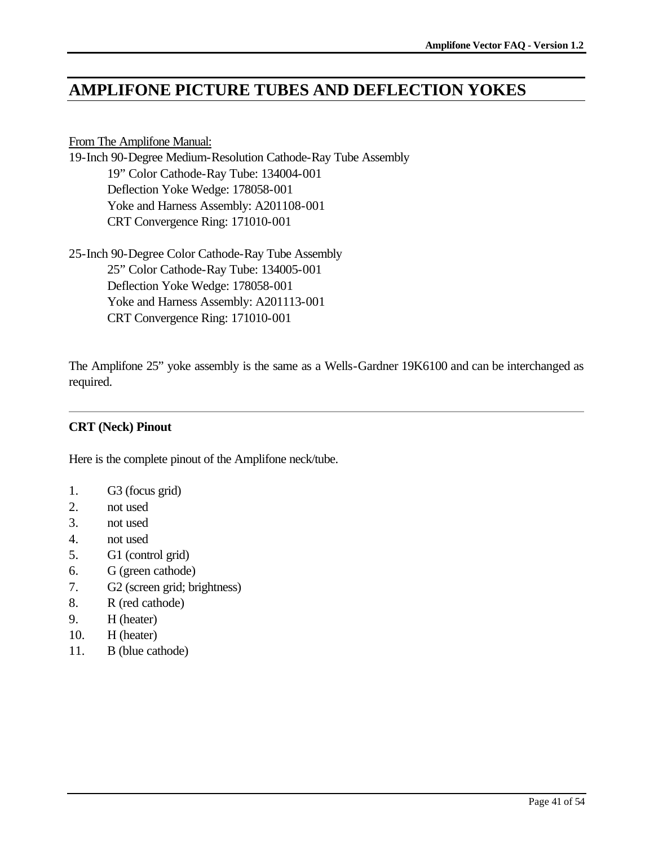# **AMPLIFONE PICTURE TUBES AND DEFLECTION YOKES**

### From The Amplifone Manual:

19-Inch 90-Degree Medium-Resolution Cathode-Ray Tube Assembly 19" Color Cathode-Ray Tube: 134004-001 Deflection Yoke Wedge: 178058-001 Yoke and Harness Assembly: A201108-001 CRT Convergence Ring: 171010-001

25-Inch 90-Degree Color Cathode-Ray Tube Assembly 25" Color Cathode-Ray Tube: 134005-001 Deflection Yoke Wedge: 178058-001 Yoke and Harness Assembly: A201113-001 CRT Convergence Ring: 171010-001

The Amplifone 25" yoke assembly is the same as a Wells-Gardner 19K6100 and can be interchanged as required.

## **CRT (Neck) Pinout**

Here is the complete pinout of the Amplifone neck/tube.

- 1. G3 (focus grid)
- 2. not used
- 3. not used
- 4. not used
- 5. G1 (control grid)
- 6. G (green cathode)
- 7. G2 (screen grid; brightness)
- 8. R (red cathode)
- 9. H (heater)
- 10. H (heater)
- 11. B (blue cathode)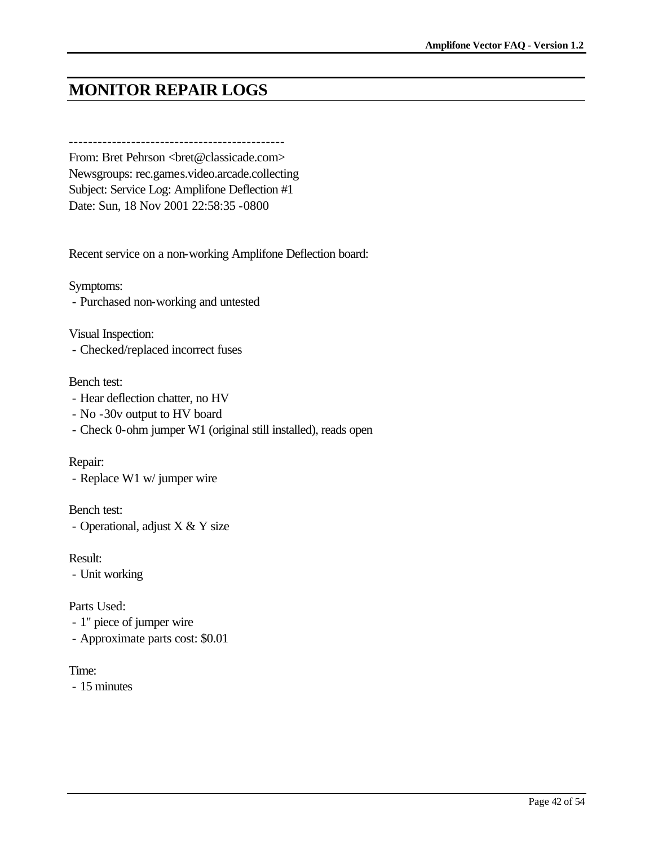# **MONITOR REPAIR LOGS**

---------------------------------------------

From: Bret Pehrson <br/> <br/> <br/> <br/> <br/> <br/>ede.com> Newsgroups: rec.games.video.arcade.collecting Subject: Service Log: Amplifone Deflection #1 Date: Sun, 18 Nov 2001 22:58:35 -0800

Recent service on a non-working Amplifone Deflection board:

Symptoms:

- Purchased non-working and untested

Visual Inspection:

- Checked/replaced incorrect fuses

#### Bench test:

- Hear deflection chatter, no HV
- No -30v output to HV board
- Check 0-ohm jumper W1 (original still installed), reads open

Repair:

- Replace W1 w/ jumper wire

Bench test: - Operational, adjust X & Y size

Result:

- Unit working

Parts Used:

- 1" piece of jumper wire
- Approximate parts cost: \$0.01

Time:

- 15 minutes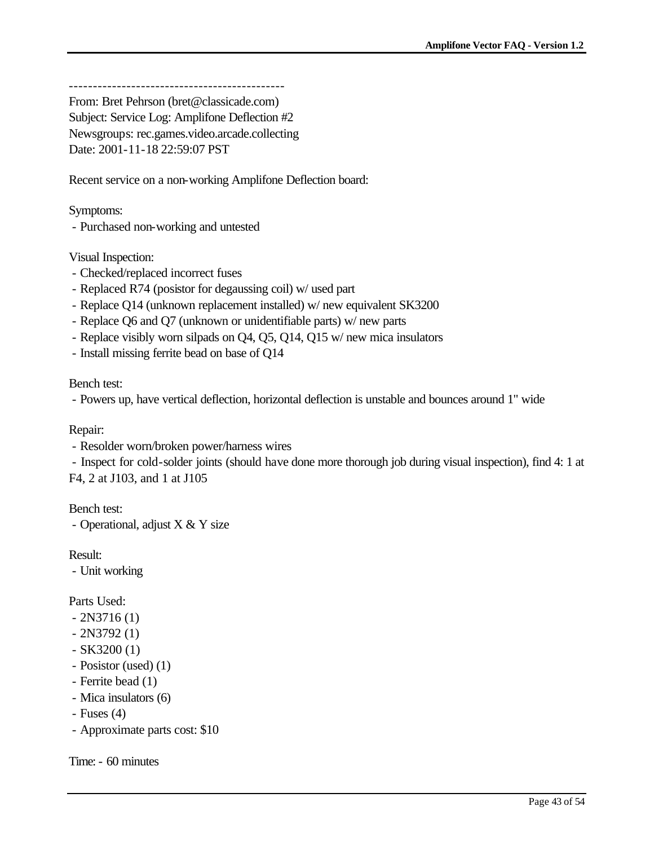---------------------------------------------

From: Bret Pehrson (bret@classicade.com) Subject: Service Log: Amplifone Deflection #2 Newsgroups: rec.games.video.arcade.collecting Date: 2001-11-18 22:59:07 PST

Recent service on a non-working Amplifone Deflection board:

Symptoms:

- Purchased non-working and untested

Visual Inspection:

- Checked/replaced incorrect fuses
- Replaced R74 (posistor for degaussing coil) w/ used part
- Replace Q14 (unknown replacement installed) w/ new equivalent SK3200
- Replace Q6 and Q7 (unknown or unidentifiable parts) w/ new parts
- Replace visibly worn silpads on Q4, Q5, Q14, Q15 w/ new mica insulators
- Install missing ferrite bead on base of Q14

Bench test:

- Powers up, have vertical deflection, horizontal deflection is unstable and bounces around 1" wide

Repair:

- Resolder worn/broken power/harness wires

- Inspect for cold-solder joints (should have done more thorough job during visual inspection), find 4: 1 at F4, 2 at J103, and 1 at J105

Bench test:

- Operational, adjust X & Y size

Result:

- Unit working

Parts Used:

- $-2N3716(1)$
- $-2N3792(1)$
- $-$  SK3200 $(1)$
- Posistor (used) (1)
- Ferrite bead (1)
- Mica insulators (6)
- $-$  Fuses  $(4)$
- Approximate parts cost: \$10

Time: - 60 minutes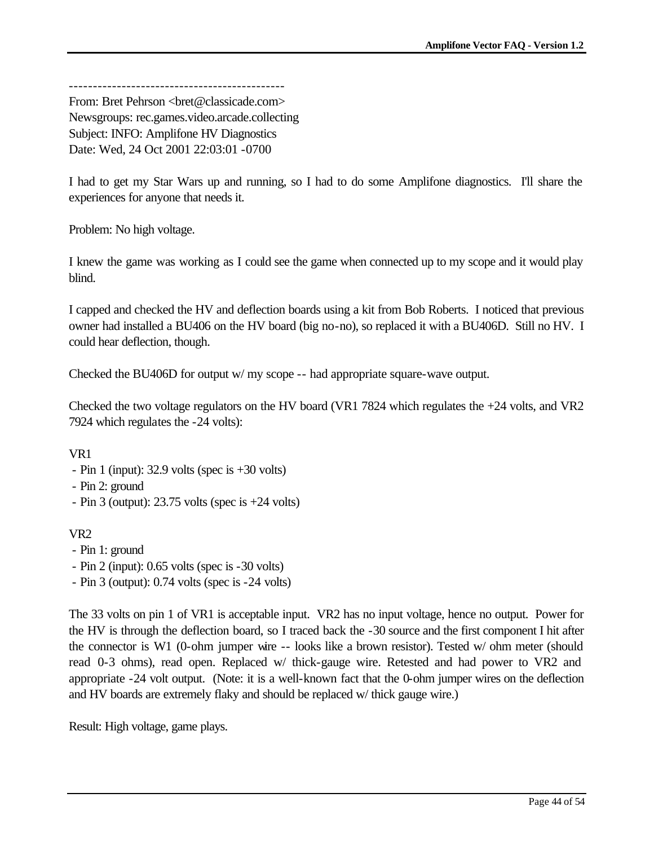--------------------------------------------- From: Bret Pehrson <bret@classicade.com> Newsgroups: rec.games.video.arcade.collecting Subject: INFO: Amplifone HV Diagnostics Date: Wed, 24 Oct 2001 22:03:01 -0700

I had to get my Star Wars up and running, so I had to do some Amplifone diagnostics. I'll share the experiences for anyone that needs it.

Problem: No high voltage.

I knew the game was working as I could see the game when connected up to my scope and it would play blind.

I capped and checked the HV and deflection boards using a kit from Bob Roberts. I noticed that previous owner had installed a BU406 on the HV board (big no-no), so replaced it with a BU406D. Still no HV. I could hear deflection, though.

Checked the BU406D for output w/ my scope -- had appropriate square-wave output.

Checked the two voltage regulators on the HV board (VR1 7824 which regulates the  $+24$  volts, and VR2 7924 which regulates the -24 volts):

VR1

- Pin 1 (input): 32.9 volts (spec is +30 volts)
- Pin 2: ground
- Pin 3 (output):  $23.75$  volts (spec is  $+24$  volts)

VR2

- Pin 1: ground
- Pin 2 (input): 0.65 volts (spec is -30 volts)
- Pin 3 (output): 0.74 volts (spec is -24 volts)

The 33 volts on pin 1 of VR1 is acceptable input. VR2 has no input voltage, hence no output. Power for the HV is through the deflection board, so I traced back the -30 source and the first component I hit after the connector is W1 (0-ohm jumper wire -- looks like a brown resistor). Tested w/ ohm meter (should read 0-3 ohms), read open. Replaced w/ thick-gauge wire. Retested and had power to VR2 and appropriate -24 volt output. (Note: it is a well-known fact that the 0-ohm jumper wires on the deflection and HV boards are extremely flaky and should be replaced w/ thick gauge wire.)

Result: High voltage, game plays.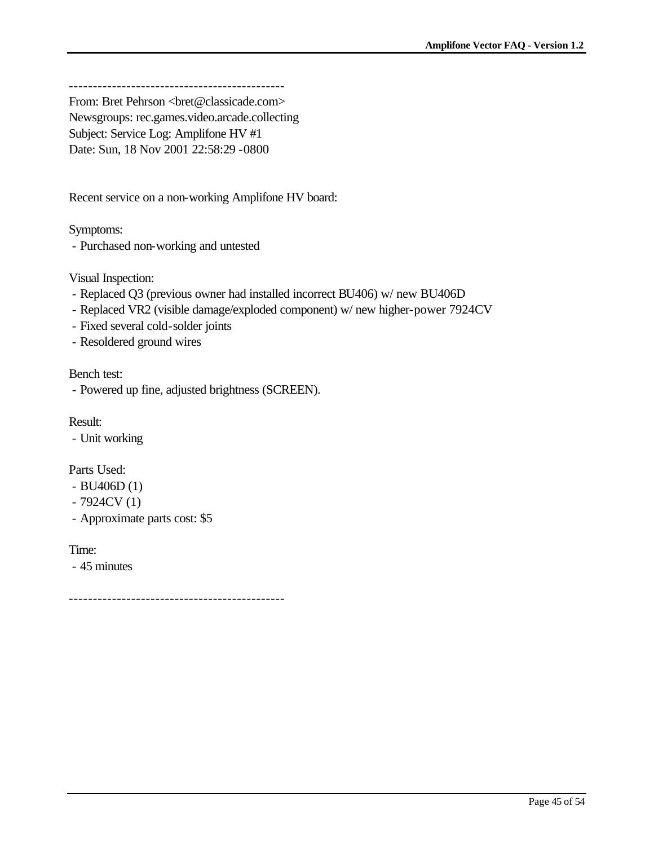---------------------------------------------

From: Bret Pehrson <br/> <br/> <br/> <br/> <br/> <br/>education<br/>><br/>sicade.com> Newsgroups: rec.games.video.arcade.collecting Subject: Service Log: Amplifone HV #1 Date: Sun, 18 Nov 2001 22:58:29 -0800

Recent service on a non-working Amplifone HV board:

Symptoms:

- Purchased non-working and untested

Visual Inspection:

- Replaced Q3 (previous owner had installed incorrect BU406) w/ new BU406D
- Replaced VR2 (visible damage/exploded component) w/ new higher-power 7924CV
- Fixed several cold-solder joints
- Resoldered ground wires

Bench test:

- Powered up fine, adjusted brightness (SCREEN).

Result:

- Unit working

Parts Used:

- BU406D (1)
- 7924CV (1)
- Approximate parts cost: \$5

Time:

- 45 minutes

---------------------------------------------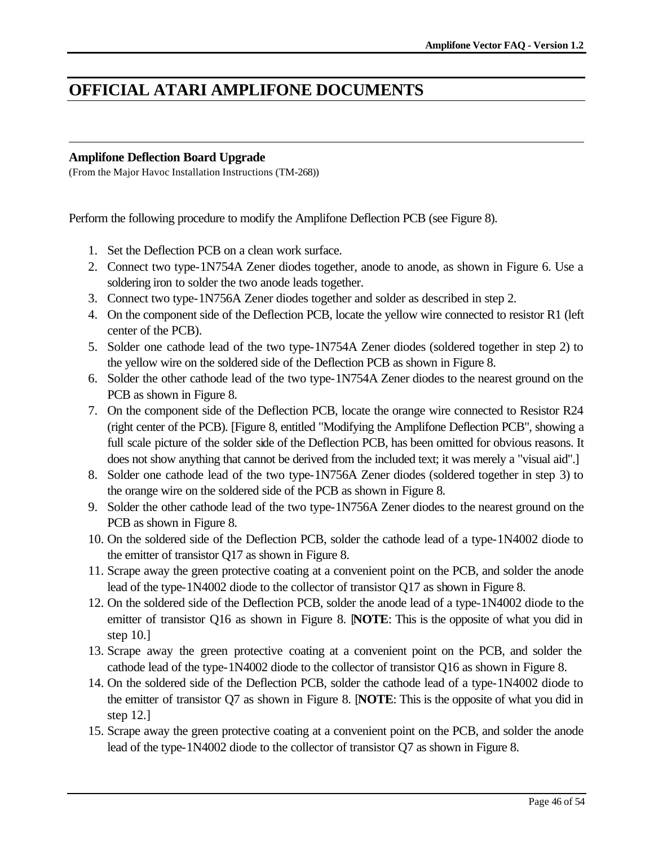# **OFFICIAL ATARI AMPLIFONE DOCUMENTS**

#### **Amplifone Deflection Board Upgrade**

(From the Major Havoc Installation Instructions (TM-268))

Perform the following procedure to modify the Amplifone Deflection PCB (see Figure 8).

- 1. Set the Deflection PCB on a clean work surface.
- 2. Connect two type-1N754A Zener diodes together, anode to anode, as shown in Figure 6. Use a soldering iron to solder the two anode leads together.
- 3. Connect two type-1N756A Zener diodes together and solder as described in step 2.
- 4. On the component side of the Deflection PCB, locate the yellow wire connected to resistor R1 (left center of the PCB).
- 5. Solder one cathode lead of the two type-1N754A Zener diodes (soldered together in step 2) to the yellow wire on the soldered side of the Deflection PCB as shown in Figure 8.
- 6. Solder the other cathode lead of the two type-1N754A Zener diodes to the nearest ground on the PCB as shown in Figure 8.
- 7. On the component side of the Deflection PCB, locate the orange wire connected to Resistor R24 (right center of the PCB). [Figure 8, entitled "Modifying the Amplifone Deflection PCB", showing a full scale picture of the solder side of the Deflection PCB, has been omitted for obvious reasons. It does not show anything that cannot be derived from the included text; it was merely a "visual aid".]
- 8. Solder one cathode lead of the two type-1N756A Zener diodes (soldered together in step 3) to the orange wire on the soldered side of the PCB as shown in Figure 8.
- 9. Solder the other cathode lead of the two type-1N756A Zener diodes to the nearest ground on the PCB as shown in Figure 8.
- 10. On the soldered side of the Deflection PCB, solder the cathode lead of a type-1N4002 diode to the emitter of transistor Q17 as shown in Figure 8.
- 11. Scrape away the green protective coating at a convenient point on the PCB, and solder the anode lead of the type-1N4002 diode to the collector of transistor Q17 as shown in Figure 8.
- 12. On the soldered side of the Deflection PCB, solder the anode lead of a type-1N4002 diode to the emitter of transistor Q16 as shown in Figure 8. [**NOTE**: This is the opposite of what you did in step 10.]
- 13. Scrape away the green protective coating at a convenient point on the PCB, and solder the cathode lead of the type-1N4002 diode to the collector of transistor Q16 as shown in Figure 8.
- 14. On the soldered side of the Deflection PCB, solder the cathode lead of a type-1N4002 diode to the emitter of transistor Q7 as shown in Figure 8. [**NOTE**: This is the opposite of what you did in step 12.]
- 15. Scrape away the green protective coating at a convenient point on the PCB, and solder the anode lead of the type-1N4002 diode to the collector of transistor Q7 as shown in Figure 8.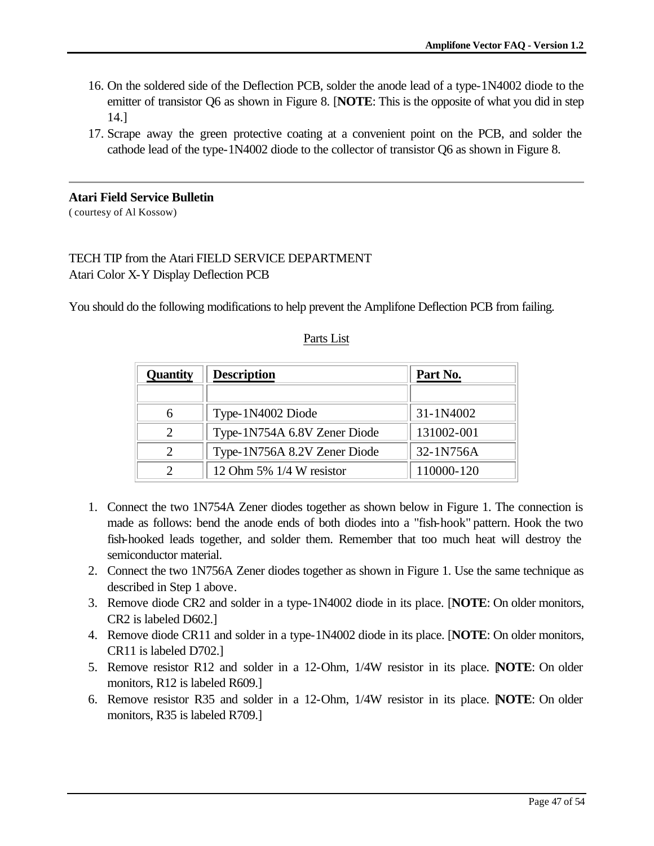- 16. On the soldered side of the Deflection PCB, solder the anode lead of a type-1N4002 diode to the emitter of transistor Q6 as shown in Figure 8. [**NOTE**: This is the opposite of what you did in step 14.]
- 17. Scrape away the green protective coating at a convenient point on the PCB, and solder the cathode lead of the type-1N4002 diode to the collector of transistor Q6 as shown in Figure 8.

## **Atari Field Service Bulletin**

( courtesy of Al Kossow)

## TECH TIP from the Atari FIELD SERVICE DEPARTMENT Atari Color X-Y Display Deflection PCB

You should do the following modifications to help prevent the Amplifone Deflection PCB from failing.

| <b>Quantity</b>             | <b>Description</b>           | Part No.   |  |
|-----------------------------|------------------------------|------------|--|
|                             |                              |            |  |
| 6                           | Type-1N4002 Diode            | 31-1N4002  |  |
| $\mathcal{D}_{\cdot}$       | Type-1N754A 6.8V Zener Diode | 131002-001 |  |
| $\mathcal{D}_{\mathcal{L}}$ | Type-1N756A 8.2V Zener Diode | 32-1N756A  |  |
| $\mathcal{D}$               | 12 Ohm 5% 1/4 W resistor     | 110000-120 |  |

### Parts List

- 1. Connect the two 1N754A Zener diodes together as shown below in Figure 1. The connection is made as follows: bend the anode ends of both diodes into a "fish-hook" pattern. Hook the two fish-hooked leads together, and solder them. Remember that too much heat will destroy the semiconductor material.
- 2. Connect the two 1N756A Zener diodes together as shown in Figure 1. Use the same technique as described in Step 1 above.
- 3. Remove diode CR2 and solder in a type-1N4002 diode in its place. [**NOTE**: On older monitors, CR2 is labeled D602.]
- 4. Remove diode CR11 and solder in a type-1N4002 diode in its place. [**NOTE**: On older monitors, CR11 is labeled D702.]
- 5. Remove resistor R12 and solder in a 12-Ohm, 1/4W resistor in its place. [**NOTE**: On older monitors, R12 is labeled R609.]
- 6. Remove resistor R35 and solder in a 12-Ohm, 1/4W resistor in its place. [**NOTE**: On older monitors, R35 is labeled R709.]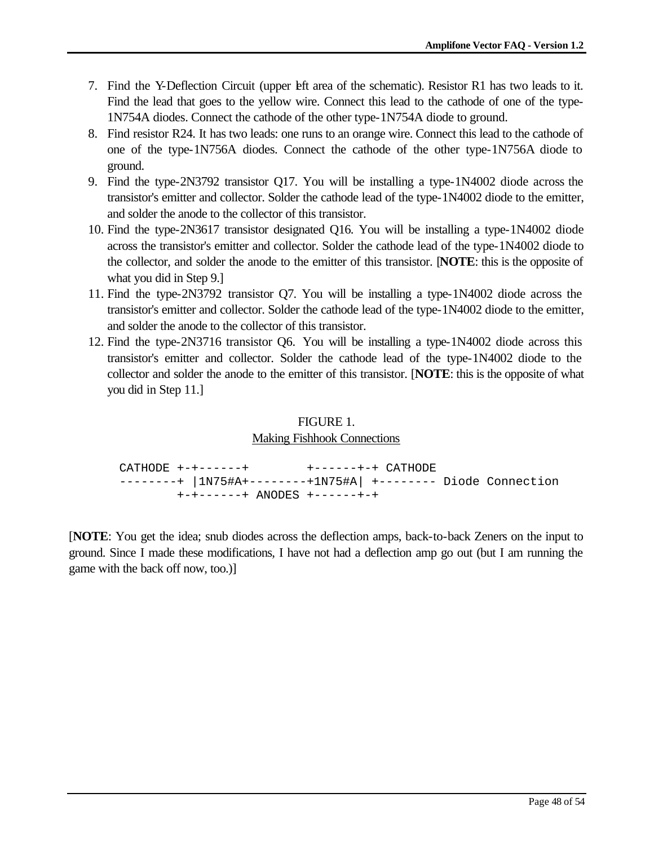- 7. Find the Y-Deflection Circuit (upper left area of the schematic). Resistor R1 has two leads to it. Find the lead that goes to the yellow wire. Connect this lead to the cathode of one of the type-1N754A diodes. Connect the cathode of the other type-1N754A diode to ground.
- 8. Find resistor R24. It has two leads: one runs to an orange wire. Connect this lead to the cathode of one of the type-1N756A diodes. Connect the cathode of the other type-1N756A diode to ground.
- 9. Find the type-2N3792 transistor Q17. You will be installing a type-1N4002 diode across the transistor's emitter and collector. Solder the cathode lead of the type-1N4002 diode to the emitter, and solder the anode to the collector of this transistor.
- 10. Find the type-2N3617 transistor designated Q16. You will be installing a type-1N4002 diode across the transistor's emitter and collector. Solder the cathode lead of the type-1N4002 diode to the collector, and solder the anode to the emitter of this transistor. [**NOTE**: this is the opposite of what you did in Step 9.]
- 11. Find the type-2N3792 transistor Q7. You will be installing a type-1N4002 diode across the transistor's emitter and collector. Solder the cathode lead of the type-1N4002 diode to the emitter, and solder the anode to the collector of this transistor.
- 12. Find the type-2N3716 transistor Q6. You will be installing a type-1N4002 diode across this transistor's emitter and collector. Solder the cathode lead of the type-1N4002 diode to the collector and solder the anode to the emitter of this transistor. [**NOTE**: this is the opposite of what you did in Step 11.]

## FIGURE 1.

### Making Fishhook Connections

 CATHODE +-+------+ +------+-+ CATHODE --------+ |1N75#A+--------+1N75#A| +-------- Diode Connection +-+------+ ANODES +------+-+

[**NOTE**: You get the idea; snub diodes across the deflection amps, back-to-back Zeners on the input to ground. Since I made these modifications, I have not had a deflection amp go out (but I am running the game with the back off now, too.)]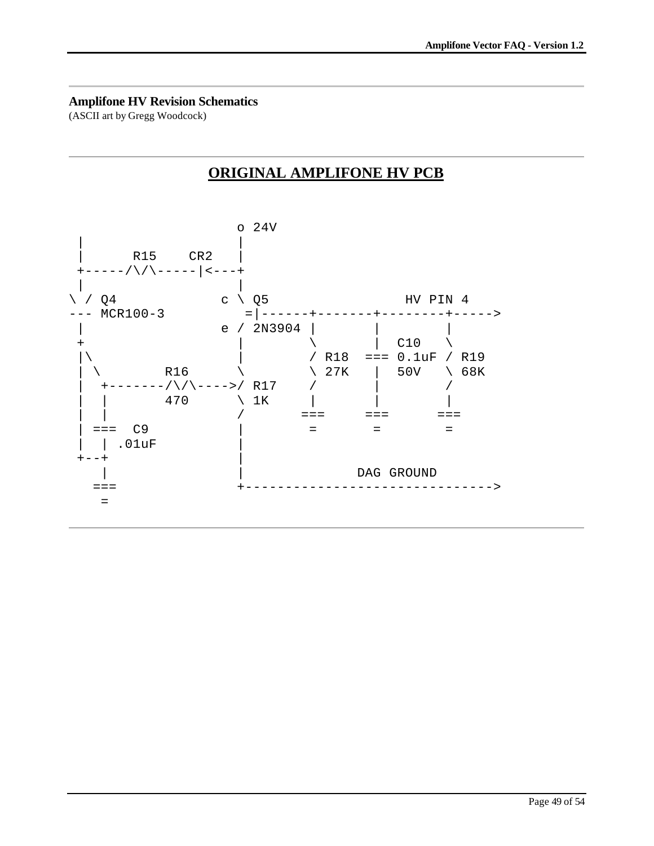#### **Amplifone HV Revision Schematics**

(ASCII art by Gregg Woodcock)

# **ORIGINAL AMPLIFONE HV PCB**

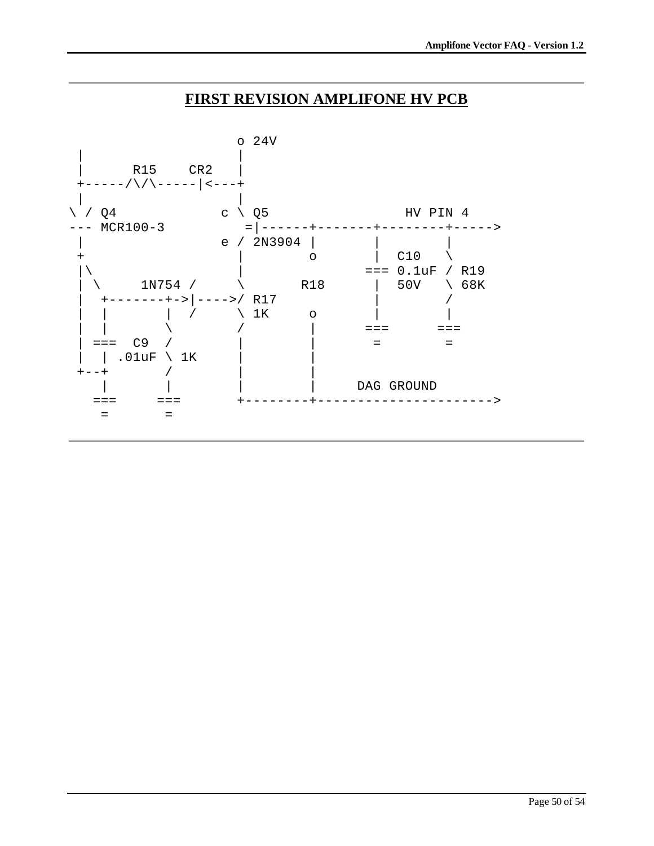## **FIRST REVISION AMPLIFONE HV PCB**

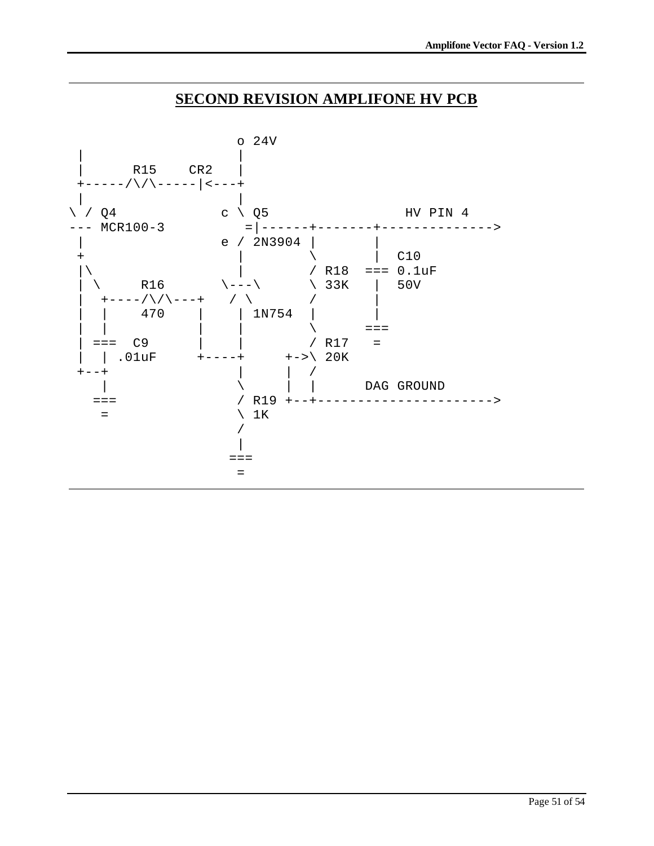## **SECOND REVISION AMPLIFONE HV PCB**

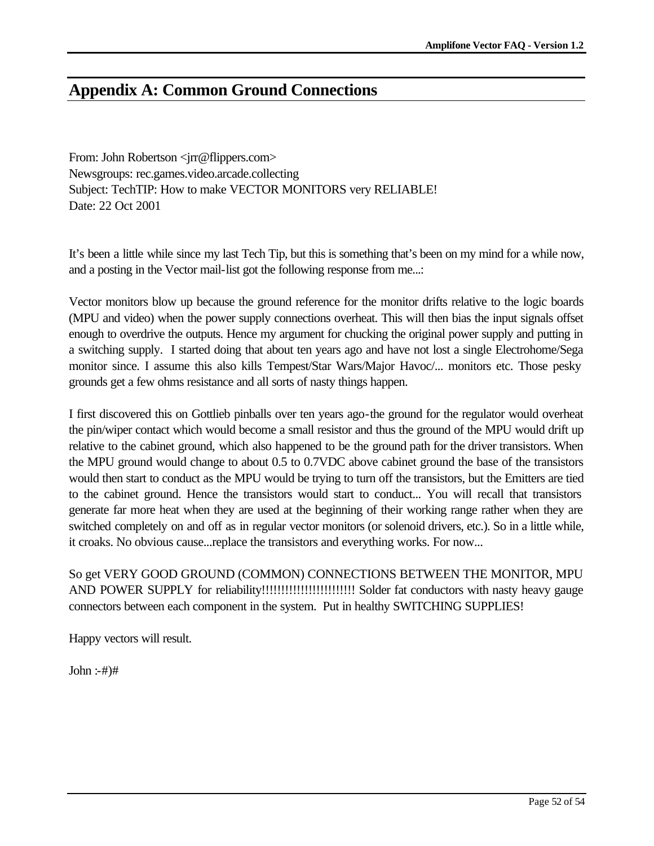# **Appendix A: Common Ground Connections**

From: John Robertson <jrr@flippers.com> Newsgroups: rec.games.video.arcade.collecting Subject: TechTIP: How to make VECTOR MONITORS very RELIABLE! Date: 22 Oct 2001

It's been a little while since my last Tech Tip, but this is something that's been on my mind for a while now, and a posting in the Vector mail-list got the following response from me...:

Vector monitors blow up because the ground reference for the monitor drifts relative to the logic boards (MPU and video) when the power supply connections overheat. This will then bias the input signals offset enough to overdrive the outputs. Hence my argument for chucking the original power supply and putting in a switching supply. I started doing that about ten years ago and have not lost a single Electrohome/Sega monitor since. I assume this also kills Tempest/Star Wars/Major Havoc/... monitors etc. Those pesky grounds get a few ohms resistance and all sorts of nasty things happen.

I first discovered this on Gottlieb pinballs over ten years ago-the ground for the regulator would overheat the pin/wiper contact which would become a small resistor and thus the ground of the MPU would drift up relative to the cabinet ground, which also happened to be the ground path for the driver transistors. When the MPU ground would change to about 0.5 to 0.7VDC above cabinet ground the base of the transistors would then start to conduct as the MPU would be trying to turn off the transistors, but the Emitters are tied to the cabinet ground. Hence the transistors would start to conduct... You will recall that transistors generate far more heat when they are used at the beginning of their working range rather when they are switched completely on and off as in regular vector monitors (or solenoid drivers, etc.). So in a little while, it croaks. No obvious cause...replace the transistors and everything works. For now...

So get VERY GOOD GROUND (COMMON) CONNECTIONS BETWEEN THE MONITOR, MPU AND POWER SUPPLY for reliability!!!!!!!!!!!!!!!!!!!!!!!! Solder fat conductors with nasty heavy gauge connectors between each component in the system. Put in healthy SWITCHING SUPPLIES!

Happy vectors will result.

 $John : +#)$ #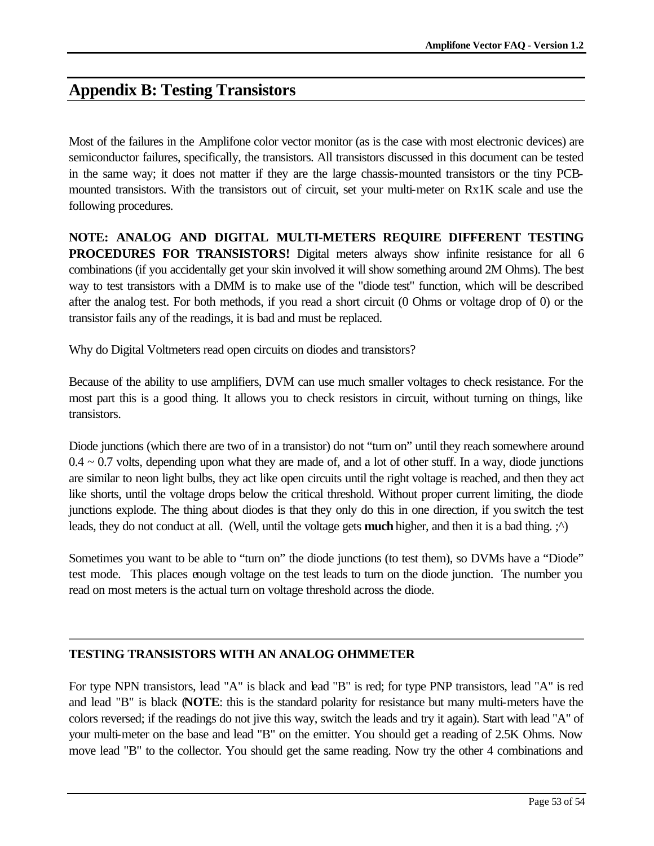# **Appendix B: Testing Transistors**

Most of the failures in the Amplifone color vector monitor (as is the case with most electronic devices) are semiconductor failures, specifically, the transistors. All transistors discussed in this document can be tested in the same way; it does not matter if they are the large chassis-mounted transistors or the tiny PCBmounted transistors. With the transistors out of circuit, set your multi-meter on Rx1K scale and use the following procedures.

**NOTE: ANALOG AND DIGITAL MULTI-METERS REQUIRE DIFFERENT TESTING PROCEDURES FOR TRANSISTORS!** Digital meters always show infinite resistance for all 6 combinations (if you accidentally get your skin involved it will show something around 2M Ohms). The best way to test transistors with a DMM is to make use of the "diode test" function, which will be described after the analog test. For both methods, if you read a short circuit (0 Ohms or voltage drop of 0) or the transistor fails any of the readings, it is bad and must be replaced.

Why do Digital Voltmeters read open circuits on diodes and transistors?

Because of the ability to use amplifiers, DVM can use much smaller voltages to check resistance. For the most part this is a good thing. It allows you to check resistors in circuit, without turning on things, like transistors.

Diode junctions (which there are two of in a transistor) do not "turn on" until they reach somewhere around  $0.4 \sim 0.7$  volts, depending upon what they are made of, and a lot of other stuff. In a way, diode junctions are similar to neon light bulbs, they act like open circuits until the right voltage is reached, and then they act like shorts, until the voltage drops below the critical threshold. Without proper current limiting, the diode junctions explode. The thing about diodes is that they only do this in one direction, if you switch the test leads, they do not conduct at all. (Well, until the voltage gets **much** higher, and then it is a bad thing. ;^)

Sometimes you want to be able to "turn on" the diode junctions (to test them), so DVMs have a "Diode" test mode. This places enough voltage on the test leads to turn on the diode junction. The number you read on most meters is the actual turn on voltage threshold across the diode.

## **TESTING TRANSISTORS WITH AN ANALOG OHMMETER**

For type NPN transistors, lead "A" is black and lead "B" is red; for type PNP transistors, lead "A" is red and lead "B" is black (**NOTE**: this is the standard polarity for resistance but many multi-meters have the colors reversed; if the readings do not jive this way, switch the leads and try it again). Start with lead "A" of your multi-meter on the base and lead "B" on the emitter. You should get a reading of 2.5K Ohms. Now move lead "B" to the collector. You should get the same reading. Now try the other 4 combinations and